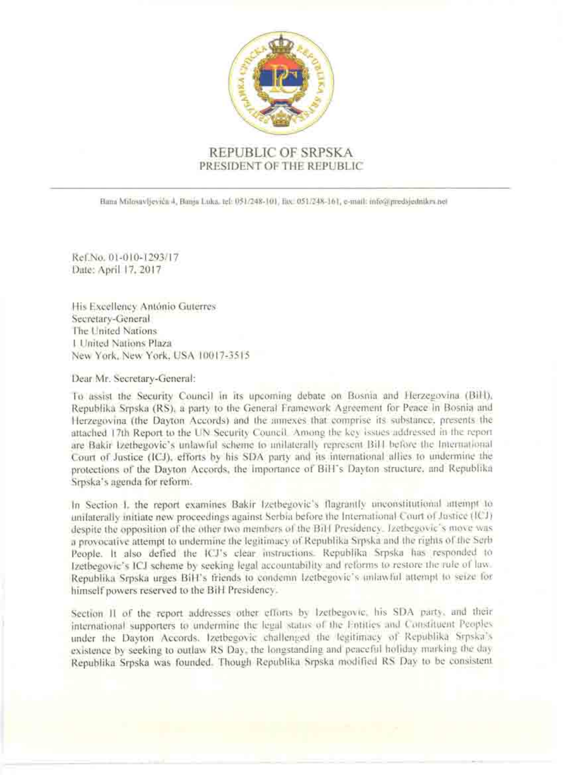

# REPUBLIC OF SRPSKA PRESIDENT OF THE REPUBLIC

Bama Milosavljevića 4, Banja Luka, tel: 051/248-101, fitx, 051/248-161, e-mail: info@predsjednikrs.net

Ref.No. 01-010-1293/17 Date: April 17, 2017

His Excellency Antonio Guterres Secretary-General The United Nations 1. United Nations Plaza New York, New York, USA 10017-3515

Dear Mr. Secretary-General:

To assist the Security Council in its upcoming debate on Bosnia and Herzegovina (BiH). Republika Srpska (RS), a party to the General Framework Agreement for Peace in Bosnia and Herzegovina (the Dayton Accords) and the annexes that comprise its substance, presents the attached 17th Report to the UN Security Council. Among the key issues addressed in the report are Bakir Izethegovic's unlawful scheme to unilaterally represent Bill before the International Court of Justice (ICJ), efforts by his SDA party and its international allies to undermine the protections of the Dayton Accords, the Importance of BiH's Dayton structure, and Republika Srpska's agenda for reform.

In Section I, the report examines Bakir Izetbegovic's flagrantly unconstitutional attempt to unifaterally initiate new proceedings against Serbia before the International Court of Justice (ICJ) despite the opposition of the other two members of the BiH Presidency. Izetbegovic's move was a provocative attempt to undermine the legitimacy of Republika Srpska and the rights of the Serb People. It also defied the ICJ's clear instructions. Republika Srpska has responded to Izetbegovic's ICJ scheme by seeking legal accountability and reforms to restore the rule of law. Republika Srpska urges BiH's friends to condemn Izetbegovic's unlawful attempt to seize for himself powers reserved to the BiH Presidency.

Section II of the report addresses other efforts by Izetbegovic, his SDA party, and their international supporters to undermine the legal status of the Entities and Constituent Peoples under the Dayton Accords. Izetbegovic challenged the legitimacy of Republika Srpska's existence by seeking to outlaw RS Day, the longstanding and peaceful holiday marking the day Republika Srpska was founded. Though Republika Srpska modified RS Day to be consistent.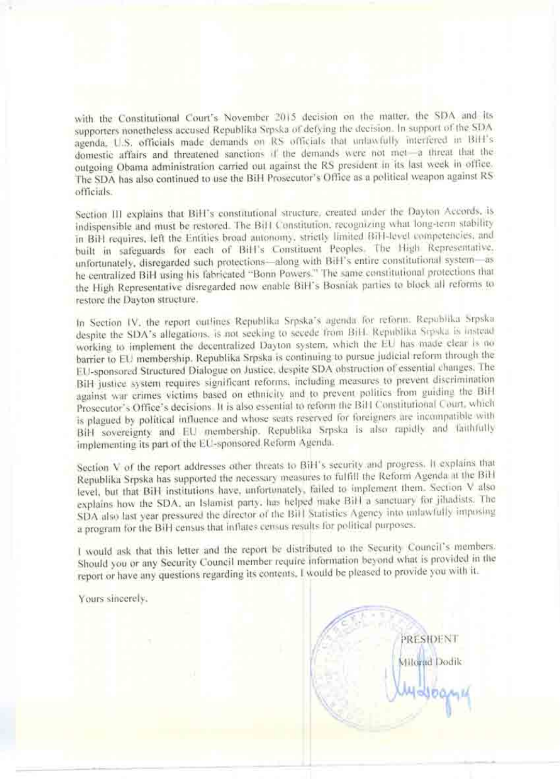with the Constitutional Court's November 2015 decision on the matter, the SDA and its supporters nonetheless accused Republika Srpska of defying the decision. In support of the SDA agenda, U.S. officials made demands on RS officials that unlawfully interfered in BiH's domestic affairs and threatened sanctions if the demands were not met-a threat that the outgoing Obama administration carried out against the RS president in its last week in office. The SDA has also continued to use the BiH Prosecutor's Office as a political weapon against RS officials.

Section III explains that BiH's constitutional structure, created under the Dayton Accords, is indispensible and must be restored. The BiH Constitution, recognizing what long-term stability in BiH requires, left the Entities broad autonomy, strictly limited BiH-level competencies, and built in safeguards for each of BiH's Constituent Peoples. The High Representative, unfortunately, disregarded such protections-along with BiH's entire constitutional system-as he centralized BiH using his fabricated "Bonn Powers." The same constitutional protections that the High Representative disregarded now enable BiH's Bosniak parties to block all reforms to restore the Dayton structure.

In Section IV, the report outlines Republika Srpska's agenda for reform: Republika Srpska despite the SDA's allegations, is not seeking to secede from BiH. Republika Srpska is instead working to implement the decentralized Dayton system, which the EU has made clear is no barrier to EU membership. Republika Srpska is continuing to pursue judicial reform through the EU-sponsored Structured Dialogue on Justice, despite SDA obstruction of essential changes. The BiH justice system requires significant reforms, including measures to prevent discrimination against war crimes victims based on ethnicity and to prevent politics from guiding the BiH Prosecutor's Office's decisions. It is also essential to reform the BiH Constitutional Court, which is plagued by political influence and whose seats reserved for foreigners are incompatible with BiH sovereignty and EU membership. Republika Srpska is also rapidly and faithfully implementing its part of the EU-sponsored Reform Agenda.

Section V of the report addresses other threats to BiH's security and progress. It explains that Republika Srpska has supported the necessary measures to fulfill the Reform Agenda at the BiH level, but that BiH institutions have, unfortunately, failed to implement them. Section V also explains how the SDA, an Islamist party, has helped make BiH a sanctuary for jihadists. The SDA also last year pressured the director of the BiH Statistics Agency into unlawfully imposing a program for the BiH census that inflates census results for political purposes.

I would ask that this letter and the report be distributed to the Security Council's members. Should you or any Security Council member require information beyond what is provided in the report or have any questions regarding its contents. I would be pleased to provide you with it.

Yours sincerely:

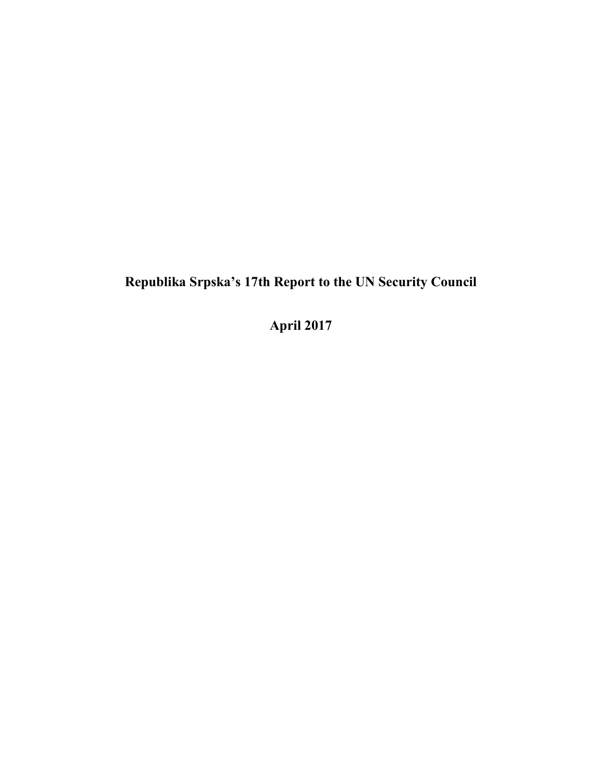# **Republika Srpska's 17th Report to the UN Security Council**

**April 2017**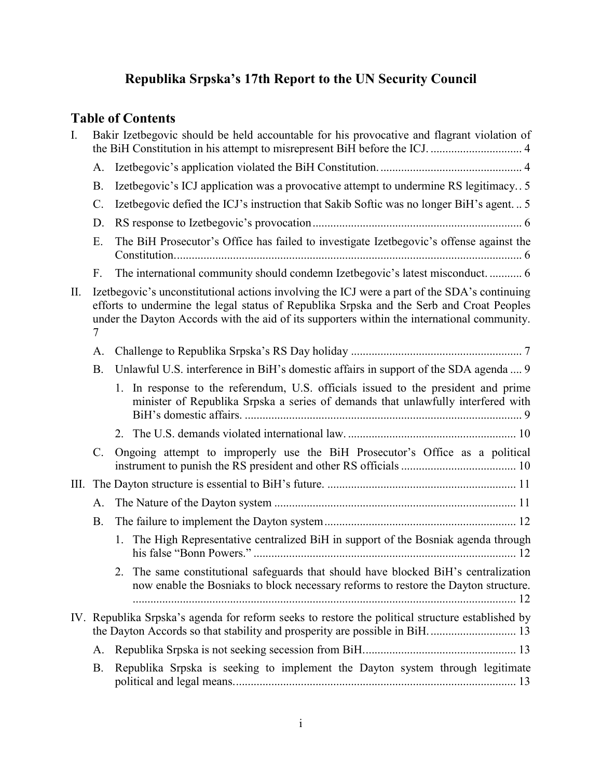# **Republika Srpska's 17th Report to the UN Security Council**

# **Table of Contents**

| I.   |           | Bakir Izetbegovic should be held accountable for his provocative and flagrant violation of                                                                                                                                                                                              |
|------|-----------|-----------------------------------------------------------------------------------------------------------------------------------------------------------------------------------------------------------------------------------------------------------------------------------------|
|      | A.        |                                                                                                                                                                                                                                                                                         |
|      | <b>B.</b> | Izetbegovic's ICJ application was a provocative attempt to undermine RS legitimacy 5                                                                                                                                                                                                    |
|      | C.        | Izetbegovic defied the ICJ's instruction that Sakib Softic was no longer BiH's agent 5                                                                                                                                                                                                  |
|      | D.        |                                                                                                                                                                                                                                                                                         |
|      | Ε.        | The BiH Prosecutor's Office has failed to investigate Izetbegovic's offense against the                                                                                                                                                                                                 |
|      | F.        | The international community should condemn Izetbegovic's latest misconduct 6                                                                                                                                                                                                            |
| II.  | 7         | Izetbegovic's unconstitutional actions involving the ICJ were a part of the SDA's continuing<br>efforts to undermine the legal status of Republika Srpska and the Serb and Croat Peoples<br>under the Dayton Accords with the aid of its supporters within the international community. |
|      | A.        |                                                                                                                                                                                                                                                                                         |
|      | <b>B.</b> | Unlawful U.S. interference in BiH's domestic affairs in support of the SDA agenda  9                                                                                                                                                                                                    |
|      |           | 1. In response to the referendum, U.S. officials issued to the president and prime<br>minister of Republika Srpska a series of demands that unlawfully interfered with                                                                                                                  |
|      |           |                                                                                                                                                                                                                                                                                         |
|      | C.        | Ongoing attempt to improperly use the BiH Prosecutor's Office as a political                                                                                                                                                                                                            |
| III. |           |                                                                                                                                                                                                                                                                                         |
|      | A.        |                                                                                                                                                                                                                                                                                         |
|      | <b>B.</b> |                                                                                                                                                                                                                                                                                         |
|      |           | 1. The High Representative centralized BiH in support of the Bosniak agenda through                                                                                                                                                                                                     |
|      |           | 2. The same constitutional safeguards that should have blocked BiH's centralization<br>now enable the Bosniaks to block necessary reforms to restore the Dayton structure.                                                                                                              |
|      |           | IV. Republika Srpska's agenda for reform seeks to restore the political structure established by                                                                                                                                                                                        |
|      | A.        |                                                                                                                                                                                                                                                                                         |
|      | <b>B.</b> | Republika Srpska is seeking to implement the Dayton system through legitimate                                                                                                                                                                                                           |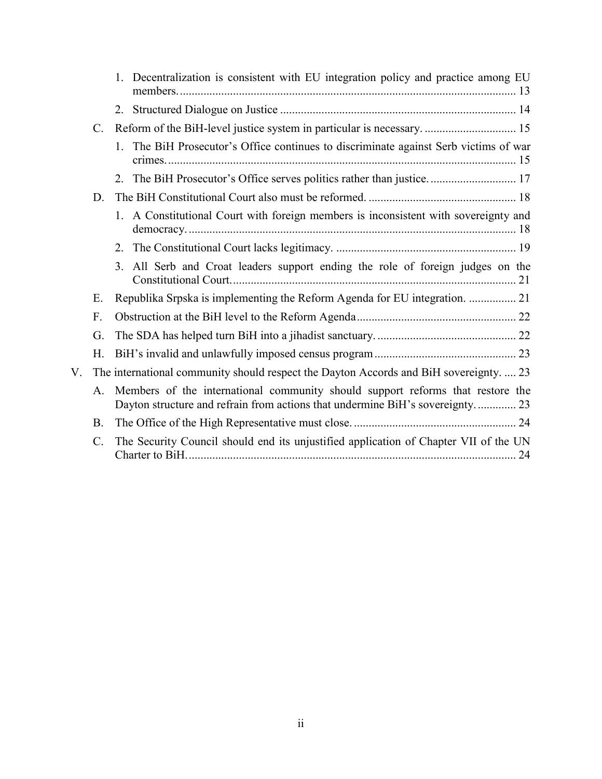|             |                 | 1. Decentralization is consistent with EU integration policy and practice among EU                                                                              |
|-------------|-----------------|-----------------------------------------------------------------------------------------------------------------------------------------------------------------|
|             |                 |                                                                                                                                                                 |
|             | $\mathcal{C}$ . | Reform of the BiH-level justice system in particular is necessary.  15                                                                                          |
|             |                 | 1. The BiH Prosecutor's Office continues to discriminate against Serb victims of war                                                                            |
|             |                 | 2. The BiH Prosecutor's Office serves politics rather than justice 17                                                                                           |
|             | D.              |                                                                                                                                                                 |
|             |                 | 1. A Constitutional Court with foreign members is inconsistent with sovereignty and                                                                             |
|             |                 |                                                                                                                                                                 |
|             |                 | All Serb and Croat leaders support ending the role of foreign judges on the<br>3.                                                                               |
|             | Ε.              | Republika Srpska is implementing the Reform Agenda for EU integration.  21                                                                                      |
|             | F.              |                                                                                                                                                                 |
|             | G.              |                                                                                                                                                                 |
|             | Н.              |                                                                                                                                                                 |
| $V_{\perp}$ |                 | The international community should respect the Dayton Accords and BiH sovereignty.  23                                                                          |
|             | A.              | Members of the international community should support reforms that restore the<br>Dayton structure and refrain from actions that undermine BiH's sovereignty 23 |
|             | <b>B.</b>       |                                                                                                                                                                 |
|             | $\mathcal{C}$ . | The Security Council should end its unjustified application of Chapter VII of the UN                                                                            |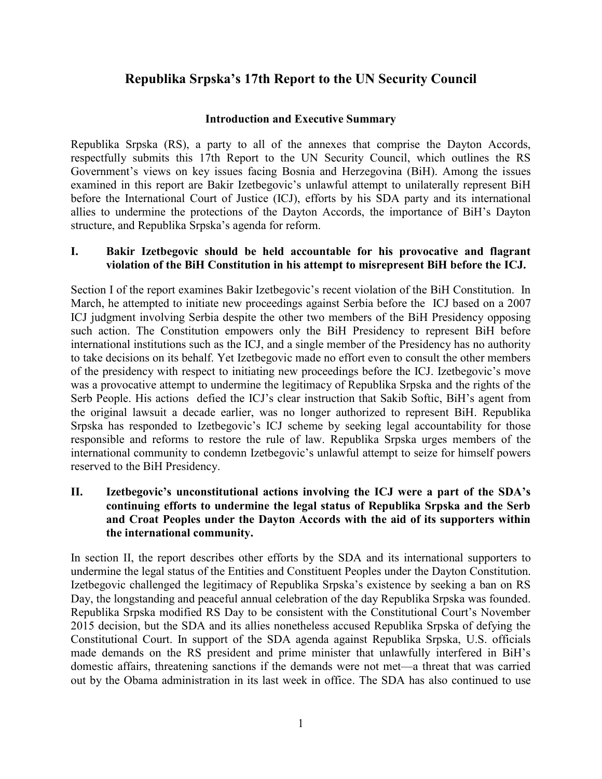# **Republika Srpska's 17th Report to the UN Security Council**

#### **Introduction and Executive Summary**

Republika Srpska (RS), a party to all of the annexes that comprise the Dayton Accords, respectfully submits this 17th Report to the UN Security Council, which outlines the RS Government's views on key issues facing Bosnia and Herzegovina (BiH). Among the issues examined in this report are Bakir Izetbegovic's unlawful attempt to unilaterally represent BiH before the International Court of Justice (ICJ), efforts by his SDA party and its international allies to undermine the protections of the Dayton Accords, the importance of BiH's Dayton structure, and Republika Srpska's agenda for reform.

#### **I. Bakir Izetbegovic should be held accountable for his provocative and flagrant violation of the BiH Constitution in his attempt to misrepresent BiH before the ICJ.**

Section I of the report examines Bakir Izetbegovic's recent violation of the BiH Constitution. In March, he attempted to initiate new proceedings against Serbia before the ICJ based on a 2007 ICJ judgment involving Serbia despite the other two members of the BiH Presidency opposing such action. The Constitution empowers only the BiH Presidency to represent BiH before international institutions such as the ICJ, and a single member of the Presidency has no authority to take decisions on its behalf. Yet Izetbegovic made no effort even to consult the other members of the presidency with respect to initiating new proceedings before the ICJ. Izetbegovic's move was a provocative attempt to undermine the legitimacy of Republika Srpska and the rights of the Serb People. His actions defied the ICJ's clear instruction that Sakib Softic, BiH's agent from the original lawsuit a decade earlier, was no longer authorized to represent BiH. Republika Srpska has responded to Izetbegovic's ICJ scheme by seeking legal accountability for those responsible and reforms to restore the rule of law. Republika Srpska urges members of the international community to condemn Izetbegovic's unlawful attempt to seize for himself powers reserved to the BiH Presidency.

#### **II. Izetbegovic's unconstitutional actions involving the ICJ were a part of the SDA's continuing efforts to undermine the legal status of Republika Srpska and the Serb and Croat Peoples under the Dayton Accords with the aid of its supporters within the international community.**

In section II, the report describes other efforts by the SDA and its international supporters to undermine the legal status of the Entities and Constituent Peoples under the Dayton Constitution. Izetbegovic challenged the legitimacy of Republika Srpska's existence by seeking a ban on RS Day, the longstanding and peaceful annual celebration of the day Republika Srpska was founded. Republika Srpska modified RS Day to be consistent with the Constitutional Court's November 2015 decision, but the SDA and its allies nonetheless accused Republika Srpska of defying the Constitutional Court. In support of the SDA agenda against Republika Srpska, U.S. officials made demands on the RS president and prime minister that unlawfully interfered in BiH's domestic affairs, threatening sanctions if the demands were not met—a threat that was carried out by the Obama administration in its last week in office. The SDA has also continued to use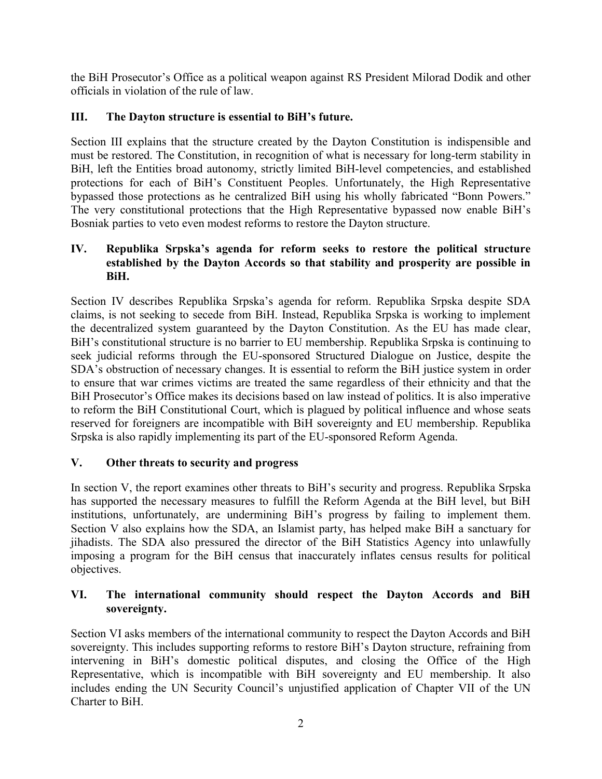the BiH Prosecutor's Office as a political weapon against RS President Milorad Dodik and other officials in violation of the rule of law.

# **III. The Dayton structure is essential to BiH's future.**

Section III explains that the structure created by the Dayton Constitution is indispensible and must be restored. The Constitution, in recognition of what is necessary for long-term stability in BiH, left the Entities broad autonomy, strictly limited BiH-level competencies, and established protections for each of BiH's Constituent Peoples. Unfortunately, the High Representative bypassed those protections as he centralized BiH using his wholly fabricated "Bonn Powers." The very constitutional protections that the High Representative bypassed now enable BiH's Bosniak parties to veto even modest reforms to restore the Dayton structure.

#### **IV. Republika Srpska's agenda for reform seeks to restore the political structure established by the Dayton Accords so that stability and prosperity are possible in BiH.**

Section IV describes Republika Srpska's agenda for reform. Republika Srpska despite SDA claims, is not seeking to secede from BiH. Instead, Republika Srpska is working to implement the decentralized system guaranteed by the Dayton Constitution. As the EU has made clear, BiH's constitutional structure is no barrier to EU membership. Republika Srpska is continuing to seek judicial reforms through the EU-sponsored Structured Dialogue on Justice, despite the SDA's obstruction of necessary changes. It is essential to reform the BiH justice system in order to ensure that war crimes victims are treated the same regardless of their ethnicity and that the BiH Prosecutor's Office makes its decisions based on law instead of politics. It is also imperative to reform the BiH Constitutional Court, which is plagued by political influence and whose seats reserved for foreigners are incompatible with BiH sovereignty and EU membership. Republika Srpska is also rapidly implementing its part of the EU-sponsored Reform Agenda.

# **V. Other threats to security and progress**

In section V, the report examines other threats to BiH's security and progress. Republika Srpska has supported the necessary measures to fulfill the Reform Agenda at the BiH level, but BiH institutions, unfortunately, are undermining BiH's progress by failing to implement them. Section V also explains how the SDA, an Islamist party, has helped make BiH a sanctuary for jihadists. The SDA also pressured the director of the BiH Statistics Agency into unlawfully imposing a program for the BiH census that inaccurately inflates census results for political objectives.

## **VI. The international community should respect the Dayton Accords and BiH sovereignty.**

Section VI asks members of the international community to respect the Dayton Accords and BiH sovereignty. This includes supporting reforms to restore BiH's Dayton structure, refraining from intervening in BiH's domestic political disputes, and closing the Office of the High Representative, which is incompatible with BiH sovereignty and EU membership. It also includes ending the UN Security Council's unjustified application of Chapter VII of the UN Charter to BiH.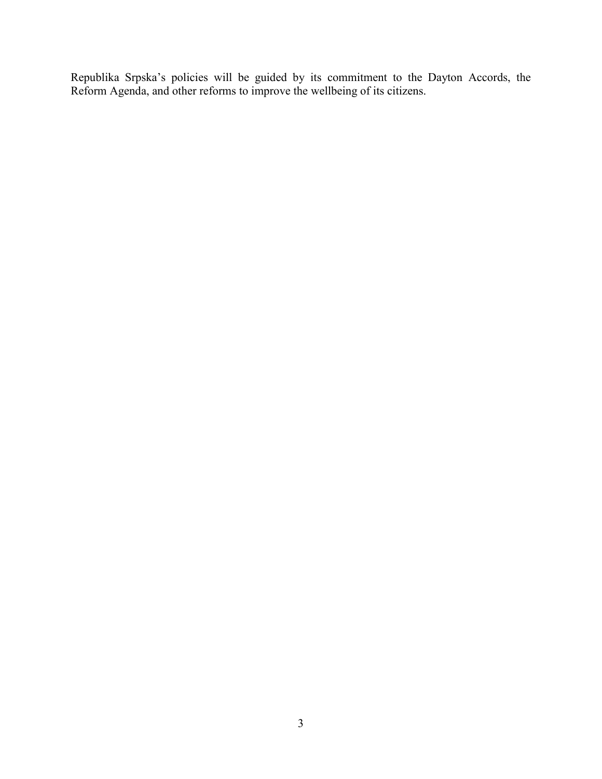Republika Srpska's policies will be guided by its commitment to the Dayton Accords, the Reform Agenda, and other reforms to improve the wellbeing of its citizens.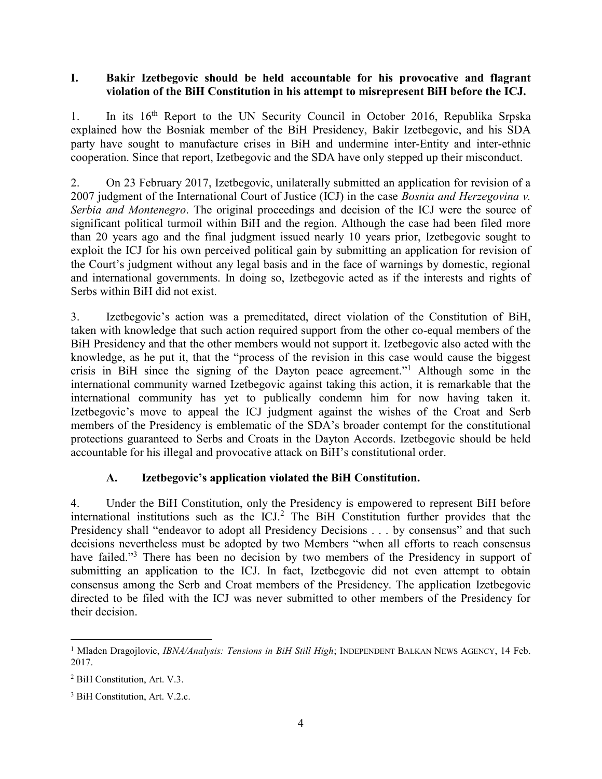#### <span id="page-8-0"></span>**I. Bakir Izetbegovic should be held accountable for his provocative and flagrant violation of the BiH Constitution in his attempt to misrepresent BiH before the ICJ.**

1. In its 16th Report to the UN Security Council in October 2016, Republika Srpska explained how the Bosniak member of the BiH Presidency, Bakir Izetbegovic, and his SDA party have sought to manufacture crises in BiH and undermine inter-Entity and inter-ethnic cooperation. Since that report, Izetbegovic and the SDA have only stepped up their misconduct.

2. On 23 February 2017, Izetbegovic, unilaterally submitted an application for revision of a 2007 judgment of the International Court of Justice (ICJ) in the case *Bosnia and Herzegovina v. Serbia and Montenegro*. The original proceedings and decision of the ICJ were the source of significant political turmoil within BiH and the region. Although the case had been filed more than 20 years ago and the final judgment issued nearly 10 years prior, Izetbegovic sought to exploit the ICJ for his own perceived political gain by submitting an application for revision of the Court's judgment without any legal basis and in the face of warnings by domestic, regional and international governments. In doing so, Izetbegovic acted as if the interests and rights of Serbs within BiH did not exist.

3. Izetbegovic's action was a premeditated, direct violation of the Constitution of BiH, taken with knowledge that such action required support from the other co-equal members of the BiH Presidency and that the other members would not support it. Izetbegovic also acted with the knowledge, as he put it, that the "process of the revision in this case would cause the biggest crisis in BiH since the signing of the Dayton peace agreement."<sup>1</sup> Although some in the international community warned Izetbegovic against taking this action, it is remarkable that the international community has yet to publically condemn him for now having taken it. Izetbegovic's move to appeal the ICJ judgment against the wishes of the Croat and Serb members of the Presidency is emblematic of the SDA's broader contempt for the constitutional protections guaranteed to Serbs and Croats in the Dayton Accords. Izetbegovic should be held accountable for his illegal and provocative attack on BiH's constitutional order.

#### **A. Izetbegovic's application violated the BiH Constitution.**

<span id="page-8-1"></span>4. Under the BiH Constitution, only the Presidency is empowered to represent BiH before international institutions such as the  $\text{ICJ}^2$ . The BiH Constitution further provides that the Presidency shall "endeavor to adopt all Presidency Decisions . . . by consensus" and that such decisions nevertheless must be adopted by two Members "when all efforts to reach consensus have failed."<sup>3</sup> There has been no decision by two members of the Presidency in support of submitting an application to the ICJ. In fact, Izetbegovic did not even attempt to obtain consensus among the Serb and Croat members of the Presidency. The application Izetbegovic directed to be filed with the ICJ was never submitted to other members of the Presidency for their decision.

 $\overline{a}$ <sup>1</sup> Mladen Dragojlovic, *IBNA/Analysis: Tensions in BiH Still High*; INDEPENDENT BALKAN NEWS AGENCY, 14 Feb. 2017.

<sup>2</sup> BiH Constitution, Art. V.3.

<sup>&</sup>lt;sup>3</sup> BiH Constitution, Art. V.2.c.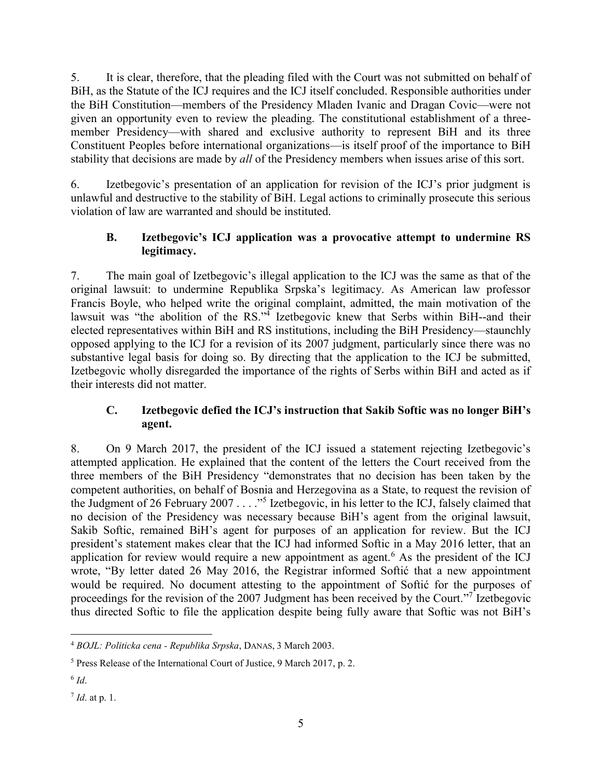5. It is clear, therefore, that the pleading filed with the Court was not submitted on behalf of BiH, as the Statute of the ICJ requires and the ICJ itself concluded. Responsible authorities under the BiH Constitution—members of the Presidency Mladen Ivanic and Dragan Covic—were not given an opportunity even to review the pleading. The constitutional establishment of a threemember Presidency—with shared and exclusive authority to represent BiH and its three Constituent Peoples before international organizations—is itself proof of the importance to BiH stability that decisions are made by *all* of the Presidency members when issues arise of this sort.

6. Izetbegovic's presentation of an application for revision of the ICJ's prior judgment is unlawful and destructive to the stability of BiH. Legal actions to criminally prosecute this serious violation of law are warranted and should be instituted.

## <span id="page-9-0"></span>**B. Izetbegovic's ICJ application was a provocative attempt to undermine RS legitimacy.**

7. The main goal of Izetbegovic's illegal application to the ICJ was the same as that of the original lawsuit: to undermine Republika Srpska's legitimacy. As American law professor Francis Boyle, who helped write the original complaint, admitted, the main motivation of the lawsuit was "the abolition of the RS."<sup>4</sup> Izetbegovic knew that Serbs within BiH--and their elected representatives within BiH and RS institutions, including the BiH Presidency—staunchly opposed applying to the ICJ for a revision of its 2007 judgment, particularly since there was no substantive legal basis for doing so. By directing that the application to the ICJ be submitted, Izetbegovic wholly disregarded the importance of the rights of Serbs within BiH and acted as if their interests did not matter.

# <span id="page-9-1"></span>**C. Izetbegovic defied the ICJ's instruction that Sakib Softic was no longer BiH's agent.**

8. On 9 March 2017, the president of the ICJ issued a statement rejecting Izetbegovic's attempted application. He explained that the content of the letters the Court received from the three members of the BiH Presidency "demonstrates that no decision has been taken by the competent authorities, on behalf of Bosnia and Herzegovina as a State, to request the revision of the Judgment of 26 February 2007 . . . . "<sup>5</sup> Izetbegovic, in his letter to the ICJ, falsely claimed that no decision of the Presidency was necessary because BiH's agent from the original lawsuit, Sakib Softic, remained BiH's agent for purposes of an application for review. But the ICJ president's statement makes clear that the ICJ had informed Softic in a May 2016 letter, that an application for review would require a new appointment as agent.<sup>6</sup> As the president of the ICJ wrote, "By letter dated 26 May 2016, the Registrar informed Softić that a new appointment would be required. No document attesting to the appointment of Softić for the purposes of proceedings for the revision of the 2007 Judgment has been received by the Court."<sup>7</sup> Izetbegovic thus directed Softic to file the application despite being fully aware that Softic was not BiH's

 $\overline{a}$ <sup>4</sup> *BOJL: Politicka cena - Republika Srpska*, DANAS, 3 March 2003.

<sup>5</sup> Press Release of the International Court of Justice, 9 March 2017, p. 2.

<sup>6</sup> *Id*.

<sup>7</sup> *Id*. at p. 1.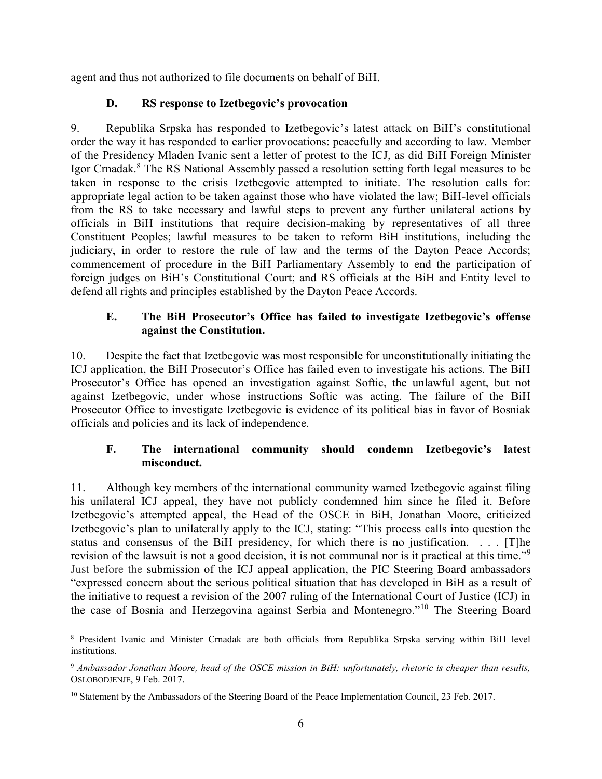agent and thus not authorized to file documents on behalf of BiH.

#### **D. RS response to Izetbegovic's provocation**

<span id="page-10-0"></span>9. Republika Srpska has responded to Izetbegovic's latest attack on BiH's constitutional order the way it has responded to earlier provocations: peacefully and according to law. Member of the Presidency Mladen Ivanic sent a letter of protest to the ICJ, as did BiH Foreign Minister Igor Crnadak.<sup>8</sup> The RS National Assembly passed a resolution setting forth legal measures to be taken in response to the crisis Izetbegovic attempted to initiate. The resolution calls for: appropriate legal action to be taken against those who have violated the law; BiH-level officials from the RS to take necessary and lawful steps to prevent any further unilateral actions by officials in BiH institutions that require decision-making by representatives of all three Constituent Peoples; lawful measures to be taken to reform BiH institutions, including the judiciary, in order to restore the rule of law and the terms of the Dayton Peace Accords; commencement of procedure in the BiH Parliamentary Assembly to end the participation of foreign judges on BiH's Constitutional Court; and RS officials at the BiH and Entity level to defend all rights and principles established by the Dayton Peace Accords.

#### <span id="page-10-1"></span>**E. The BiH Prosecutor's Office has failed to investigate Izetbegovic's offense against the Constitution.**

10. Despite the fact that Izetbegovic was most responsible for unconstitutionally initiating the ICJ application, the BiH Prosecutor's Office has failed even to investigate his actions. The BiH Prosecutor's Office has opened an investigation against Softic, the unlawful agent, but not against Izetbegovic, under whose instructions Softic was acting. The failure of the BiH Prosecutor Office to investigate Izetbegovic is evidence of its political bias in favor of Bosniak officials and policies and its lack of independence.

## <span id="page-10-2"></span>**F. The international community should condemn Izetbegovic's latest misconduct.**

11. Although key members of the international community warned Izetbegovic against filing his unilateral ICJ appeal, they have not publicly condemned him since he filed it. Before Izetbegovic's attempted appeal, the Head of the OSCE in BiH, Jonathan Moore, criticized Izetbegovic's plan to unilaterally apply to the ICJ, stating: "This process calls into question the status and consensus of the BiH presidency, for which there is no justification. . . . [T]he revision of the lawsuit is not a good decision, it is not communal nor is it practical at this time."<sup>9</sup> Just before the submission of the ICJ appeal application, the PIC Steering Board ambassadors "expressed concern about the serious political situation that has developed in BiH as a result of the initiative to request a revision of the 2007 ruling of the International Court of Justice (ICJ) in the case of Bosnia and Herzegovina against Serbia and Montenegro."<sup>10</sup> The Steering Board

 $\overline{a}$ <sup>8</sup> President Ivanic and Minister Crnadak are both officials from Republika Srpska serving within BiH level institutions.

<sup>9</sup> *Ambassador Jonathan Moore, head of the OSCE mission in BiH: unfortunately, rhetoric is cheaper than results,*  OSLOBODJENJE, 9 Feb. 2017.

<sup>&</sup>lt;sup>10</sup> Statement by the Ambassadors of the Steering Board of the Peace Implementation Council, 23 Feb. 2017.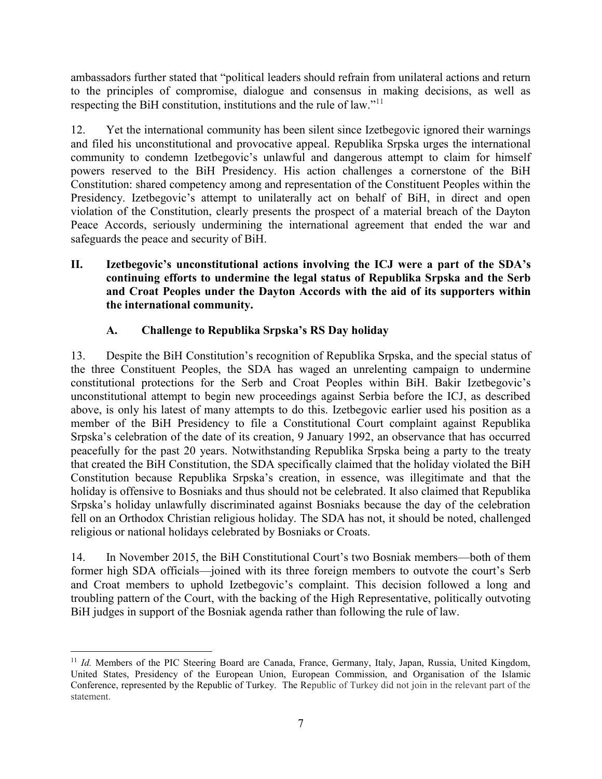ambassadors further stated that "political leaders should refrain from unilateral actions and return to the principles of compromise, dialogue and consensus in making decisions, as well as respecting the BiH constitution, institutions and the rule of law."<sup>11</sup>

12. Yet the international community has been silent since Izetbegovic ignored their warnings and filed his unconstitutional and provocative appeal. Republika Srpska urges the international community to condemn Izetbegovic's unlawful and dangerous attempt to claim for himself powers reserved to the BiH Presidency. His action challenges a cornerstone of the BiH Constitution: shared competency among and representation of the Constituent Peoples within the Presidency. Izetbegovic's attempt to unilaterally act on behalf of BiH, in direct and open violation of the Constitution, clearly presents the prospect of a material breach of the Dayton Peace Accords, seriously undermining the international agreement that ended the war and safeguards the peace and security of BiH.

#### <span id="page-11-0"></span>**II. Izetbegovic's unconstitutional actions involving the ICJ were a part of the SDA's continuing efforts to undermine the legal status of Republika Srpska and the Serb and Croat Peoples under the Dayton Accords with the aid of its supporters within the international community.**

# **A. Challenge to Republika Srpska's RS Day holiday**

<span id="page-11-1"></span>13. Despite the BiH Constitution's recognition of Republika Srpska, and the special status of the three Constituent Peoples, the SDA has waged an unrelenting campaign to undermine constitutional protections for the Serb and Croat Peoples within BiH. Bakir Izetbegovic's unconstitutional attempt to begin new proceedings against Serbia before the ICJ, as described above, is only his latest of many attempts to do this. Izetbegovic earlier used his position as a member of the BiH Presidency to file a Constitutional Court complaint against Republika Srpska's celebration of the date of its creation, 9 January 1992, an observance that has occurred peacefully for the past 20 years. Notwithstanding Republika Srpska being a party to the treaty that created the BiH Constitution, the SDA specifically claimed that the holiday violated the BiH Constitution because Republika Srpska's creation, in essence, was illegitimate and that the holiday is offensive to Bosniaks and thus should not be celebrated. It also claimed that Republika Srpska's holiday unlawfully discriminated against Bosniaks because the day of the celebration fell on an Orthodox Christian religious holiday. The SDA has not, it should be noted, challenged religious or national holidays celebrated by Bosniaks or Croats.

14. In November 2015, the BiH Constitutional Court's two Bosniak members—both of them former high SDA officials—joined with its three foreign members to outvote the court's Serb and Croat members to uphold Izetbegovic's complaint. This decision followed a long and troubling pattern of the Court, with the backing of the High Representative, politically outvoting BiH judges in support of the Bosniak agenda rather than following the rule of law.

 $\overline{a}$ <sup>11</sup> *Id.* Members of the PIC Steering Board are Canada, France, Germany, Italy, Japan, Russia, United Kingdom, United States, Presidency of the European Union, European Commission, and Organisation of the Islamic Conference, represented by the Republic of Turkey. The Republic of Turkey did not join in the relevant part of the statement.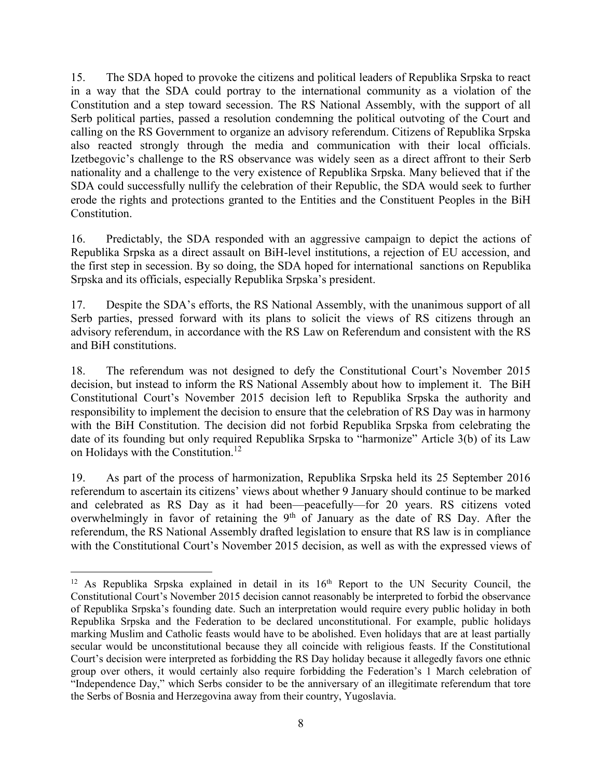15. The SDA hoped to provoke the citizens and political leaders of Republika Srpska to react in a way that the SDA could portray to the international community as a violation of the Constitution and a step toward secession. The RS National Assembly, with the support of all Serb political parties, passed a resolution condemning the political outvoting of the Court and calling on the RS Government to organize an advisory referendum. Citizens of Republika Srpska also reacted strongly through the media and communication with their local officials. Izetbegovic's challenge to the RS observance was widely seen as a direct affront to their Serb nationality and a challenge to the very existence of Republika Srpska. Many believed that if the SDA could successfully nullify the celebration of their Republic, the SDA would seek to further erode the rights and protections granted to the Entities and the Constituent Peoples in the BiH Constitution.

16. Predictably, the SDA responded with an aggressive campaign to depict the actions of Republika Srpska as a direct assault on BiH-level institutions, a rejection of EU accession, and the first step in secession. By so doing, the SDA hoped for international sanctions on Republika Srpska and its officials, especially Republika Srpska's president.

17. Despite the SDA's efforts, the RS National Assembly, with the unanimous support of all Serb parties, pressed forward with its plans to solicit the views of RS citizens through an advisory referendum, in accordance with the RS Law on Referendum and consistent with the RS and BiH constitutions.

18. The referendum was not designed to defy the Constitutional Court's November 2015 decision, but instead to inform the RS National Assembly about how to implement it. The BiH Constitutional Court's November 2015 decision left to Republika Srpska the authority and responsibility to implement the decision to ensure that the celebration of RS Day was in harmony with the BiH Constitution. The decision did not forbid Republika Srpska from celebrating the date of its founding but only required Republika Srpska to "harmonize" Article 3(b) of its Law on Holidays with the Constitution.<sup>12</sup>

19. As part of the process of harmonization, Republika Srpska held its 25 September 2016 referendum to ascertain its citizens' views about whether 9 January should continue to be marked and celebrated as RS Day as it had been—peacefully—for 20 years. RS citizens voted overwhelmingly in favor of retaining the  $9<sup>th</sup>$  of January as the date of RS Day. After the referendum, the RS National Assembly drafted legislation to ensure that RS law is in compliance with the Constitutional Court's November 2015 decision, as well as with the expressed views of

 $\overline{a}$ 

 $12$  As Republika Srpska explained in detail in its  $16<sup>th</sup>$  Report to the UN Security Council, the Constitutional Court's November 2015 decision cannot reasonably be interpreted to forbid the observance of Republika Srpska's founding date. Such an interpretation would require every public holiday in both Republika Srpska and the Federation to be declared unconstitutional. For example, public holidays marking Muslim and Catholic feasts would have to be abolished. Even holidays that are at least partially secular would be unconstitutional because they all coincide with religious feasts. If the Constitutional Court's decision were interpreted as forbidding the RS Day holiday because it allegedly favors one ethnic group over others, it would certainly also require forbidding the Federation's 1 March celebration of "Independence Day," which Serbs consider to be the anniversary of an illegitimate referendum that tore the Serbs of Bosnia and Herzegovina away from their country, Yugoslavia.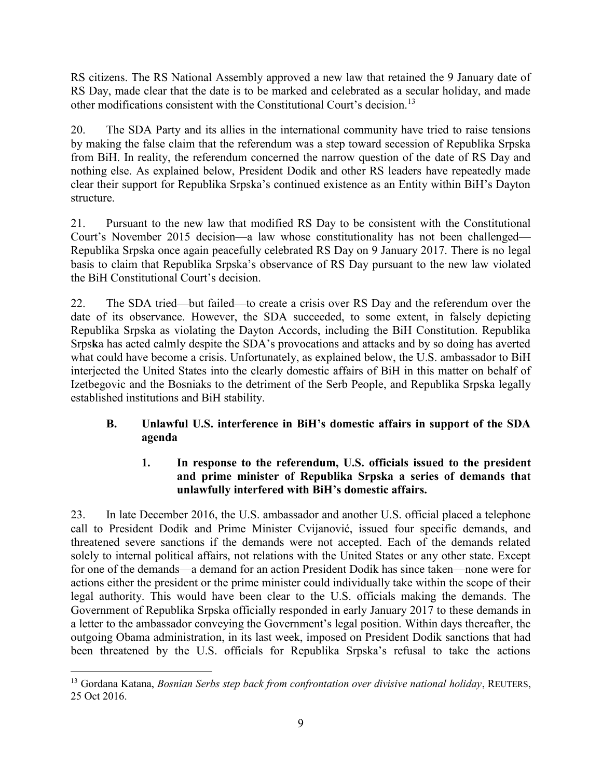RS citizens. The RS National Assembly approved a new law that retained the 9 January date of RS Day, made clear that the date is to be marked and celebrated as a secular holiday, and made other modifications consistent with the Constitutional Court's decision.<sup>13</sup>

20. The SDA Party and its allies in the international community have tried to raise tensions by making the false claim that the referendum was a step toward secession of Republika Srpska from BiH. In reality, the referendum concerned the narrow question of the date of RS Day and nothing else. As explained below, President Dodik and other RS leaders have repeatedly made clear their support for Republika Srpska's continued existence as an Entity within BiH's Dayton structure.

21. Pursuant to the new law that modified RS Day to be consistent with the Constitutional Court's November 2015 decision—a law whose constitutionality has not been challenged— Republika Srpska once again peacefully celebrated RS Day on 9 January 2017. There is no legal basis to claim that Republika Srpska's observance of RS Day pursuant to the new law violated the BiH Constitutional Court's decision.

22. The SDA tried—but failed—to create a crisis over RS Day and the referendum over the date of its observance. However, the SDA succeeded, to some extent, in falsely depicting Republika Srpska as violating the Dayton Accords, including the BiH Constitution. Republika Srps**k**a has acted calmly despite the SDA's provocations and attacks and by so doing has averted what could have become a crisis. Unfortunately, as explained below, the U.S. ambassador to BiH interjected the United States into the clearly domestic affairs of BiH in this matter on behalf of Izetbegovic and the Bosniaks to the detriment of the Serb People, and Republika Srpska legally established institutions and BiH stability.

# <span id="page-13-0"></span>**B. Unlawful U.S. interference in BiH's domestic affairs in support of the SDA agenda**

## **1. In response to the referendum, U.S. officials issued to the president and prime minister of Republika Srpska a series of demands that unlawfully interfered with BiH's domestic affairs.**

<span id="page-13-1"></span>23. In late December 2016, the U.S. ambassador and another U.S. official placed a telephone call to President Dodik and Prime Minister Cvijanović, issued four specific demands, and threatened severe sanctions if the demands were not accepted. Each of the demands related solely to internal political affairs, not relations with the United States or any other state. Except for one of the demands—a demand for an action President Dodik has since taken—none were for actions either the president or the prime minister could individually take within the scope of their legal authority. This would have been clear to the U.S. officials making the demands. The Government of Republika Srpska officially responded in early January 2017 to these demands in a letter to the ambassador conveying the Government's legal position. Within days thereafter, the outgoing Obama administration, in its last week, imposed on President Dodik sanctions that had been threatened by the U.S. officials for Republika Srpska's refusal to take the actions

 $\overline{a}$ <sup>13</sup> Gordana Katana, *Bosnian Serbs step back from confrontation over divisive national holiday*, REUTERS, 25 Oct 2016.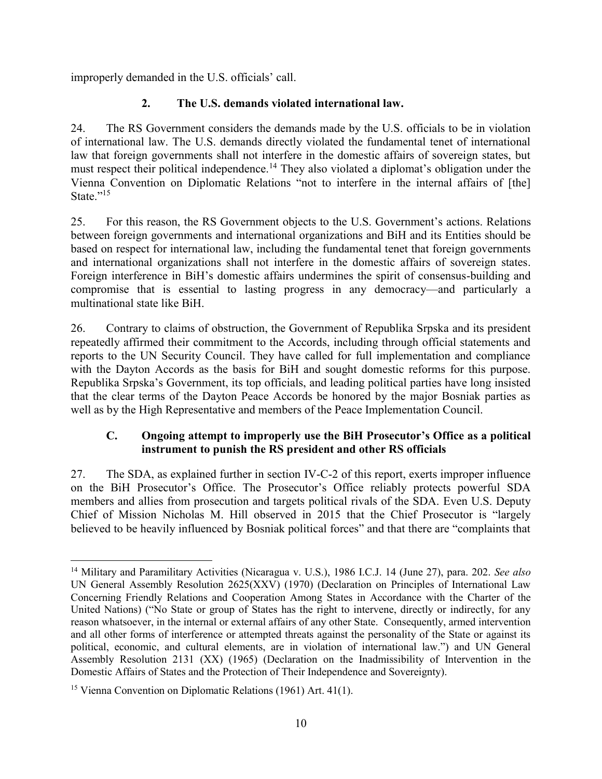improperly demanded in the U.S. officials' call.

# **2. The U.S. demands violated international law.**

<span id="page-14-0"></span>24. The RS Government considers the demands made by the U.S. officials to be in violation of international law. The U.S. demands directly violated the fundamental tenet of international law that foreign governments shall not interfere in the domestic affairs of sovereign states, but must respect their political independence.<sup>14</sup> They also violated a diplomat's obligation under the Vienna Convention on Diplomatic Relations "not to interfere in the internal affairs of [the] State."<sup>15</sup>

25. For this reason, the RS Government objects to the U.S. Government's actions. Relations between foreign governments and international organizations and BiH and its Entities should be based on respect for international law, including the fundamental tenet that foreign governments and international organizations shall not interfere in the domestic affairs of sovereign states. Foreign interference in BiH's domestic affairs undermines the spirit of consensus-building and compromise that is essential to lasting progress in any democracy—and particularly a multinational state like BiH.

26. Contrary to claims of obstruction, the Government of Republika Srpska and its president repeatedly affirmed their commitment to the Accords, including through official statements and reports to the UN Security Council. They have called for full implementation and compliance with the Dayton Accords as the basis for BiH and sought domestic reforms for this purpose. Republika Srpska's Government, its top officials, and leading political parties have long insisted that the clear terms of the Dayton Peace Accords be honored by the major Bosniak parties as well as by the High Representative and members of the Peace Implementation Council.

## <span id="page-14-1"></span>**C. Ongoing attempt to improperly use the BiH Prosecutor's Office as a political instrument to punish the RS president and other RS officials**

27. The SDA, as explained further in section IV-C-2 of this report, exerts improper influence on the BiH Prosecutor's Office. The Prosecutor's Office reliably protects powerful SDA members and allies from prosecution and targets political rivals of the SDA. Even U.S. Deputy Chief of Mission Nicholas M. Hill observed in 2015 that the Chief Prosecutor is "largely believed to be heavily influenced by Bosniak political forces" and that there are "complaints that

 $\overline{a}$ 

<sup>14</sup> Military and Paramilitary Activities (Nicaragua v. U.S.), 1986 I.C.J. 14 (June 27), para. 202. *See also* UN General Assembly Resolution 2625(XXV) (1970) (Declaration on Principles of International Law Concerning Friendly Relations and Cooperation Among States in Accordance with the Charter of the United Nations) ("No State or group of States has the right to intervene, directly or indirectly, for any reason whatsoever, in the internal or external affairs of any other State. Consequently, armed intervention and all other forms of interference or attempted threats against the personality of the State or against its political, economic, and cultural elements, are in violation of international law.") and UN General Assembly Resolution 2131 (XX) (1965) (Declaration on the Inadmissibility of Intervention in the Domestic Affairs of States and the Protection of Their Independence and Sovereignty).

<sup>15</sup> Vienna Convention on Diplomatic Relations (1961) Art. 41(1).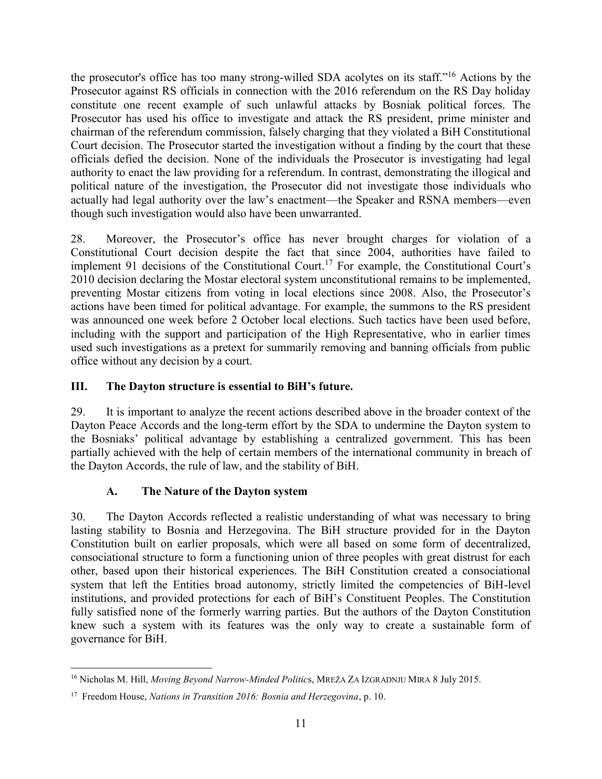the prosecutor's office has too many strong-willed SDA acolytes on its staff."<sup>16</sup> Actions by the Prosecutor against RS officials in connection with the 2016 referendum on the RS Day holiday constitute one recent example of such unlawful attacks by Bosniak political forces. The Prosecutor has used his office to investigate and attack the RS president, prime minister and chairman of the referendum commission, falsely charging that they violated a BiH Constitutional Court decision. The Prosecutor started the investigation without a finding by the court that these officials defied the decision. None of the individuals the Prosecutor is investigating had legal authority to enact the law providing for a referendum. In contrast, demonstrating the illogical and political nature of the investigation, the Prosecutor did not investigate those individuals who actually had legal authority over the law's enactment—the Speaker and RSNA members—even though such investigation would also have been unwarranted.

28. Moreover, the Prosecutor's office has never brought charges for violation of a Constitutional Court decision despite the fact that since 2004, authorities have failed to implement 91 decisions of the Constitutional Court.<sup>17</sup> For example, the Constitutional Court's 2010 decision declaring the Mostar electoral system unconstitutional remains to be implemented, preventing Mostar citizens from voting in local elections since 2008. Also, the Prosecutor's actions have been timed for political advantage. For example, the summons to the RS president was announced one week before 2 October local elections. Such tactics have been used before, including with the support and participation of the High Representative, who in earlier times used such investigations as a pretext for summarily removing and banning officials from public office without any decision by a court.

## <span id="page-15-0"></span>**III. The Dayton structure is essential to BiH's future.**

29. It is important to analyze the recent actions described above in the broader context of the Dayton Peace Accords and the long-term effort by the SDA to undermine the Dayton system to the Bosniaks' political advantage by establishing a centralized government. This has been partially achieved with the help of certain members of the international community in breach of the Dayton Accords, the rule of law, and the stability of BiH.

# **A. The Nature of the Dayton system**

<span id="page-15-1"></span>30. The Dayton Accords reflected a realistic understanding of what was necessary to bring lasting stability to Bosnia and Herzegovina. The BiH structure provided for in the Dayton Constitution built on earlier proposals, which were all based on some form of decentralized, consociational structure to form a functioning union of three peoples with great distrust for each other, based upon their historical experiences. The BiH Constitution created a consociational system that left the Entities broad autonomy, strictly limited the competencies of BiH-level institutions, and provided protections for each of BiH's Constituent Peoples. The Constitution fully satisfied none of the formerly warring parties. But the authors of the Dayton Constitution knew such a system with its features was the only way to create a sustainable form of governance for BiH.

 $\overline{a}$ <sup>16</sup> Nicholas M. Hill, *Moving Beyond Narrow-Minded Politic*s, MREŽA ZA IZGRADNJU MIRA 8 July 2015.

<sup>17</sup> Freedom House, *Nations in Transition 2016: Bosnia and Herzegovina*, p. 10.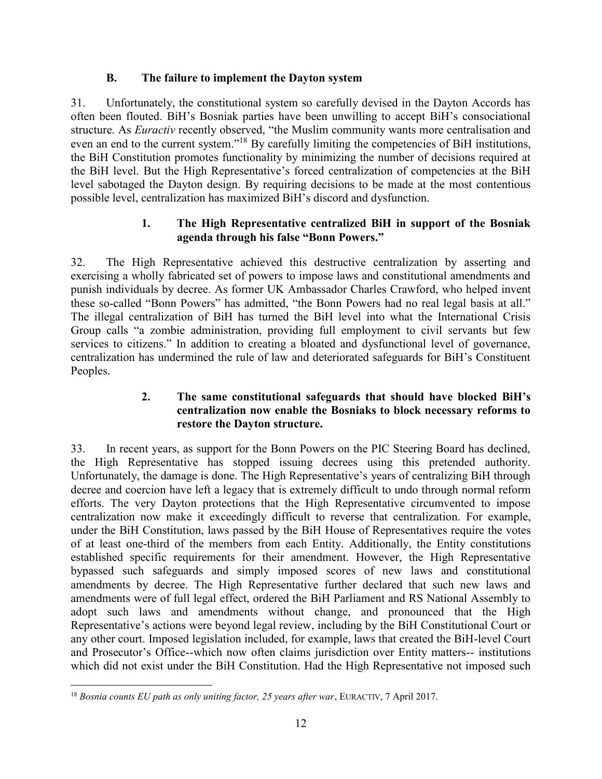#### **B. The failure to implement the Dayton system**

<span id="page-16-0"></span>31. Unfortunately, the constitutional system so carefully devised in the Dayton Accords has often been flouted. BiH's Bosniak parties have been unwilling to accept BiH's consociational structure. As *Euractiv* recently observed, "the Muslim community wants more centralisation and even an end to the current system."<sup>18</sup> By carefully limiting the competencies of BiH institutions, the BiH Constitution promotes functionality by minimizing the number of decisions required at the BiH level. But the High Representative's forced centralization of competencies at the BiH level sabotaged the Dayton design. By requiring decisions to be made at the most contentious possible level, centralization has maximized BiH's discord and dysfunction.

#### **1. The High Representative centralized BiH in support of the Bosniak agenda through his false "Bonn Powers."**

<span id="page-16-1"></span>32. The High Representative achieved this destructive centralization by asserting and exercising a wholly fabricated set of powers to impose laws and constitutional amendments and punish individuals by decree. As former UK Ambassador Charles Crawford, who helped invent these so-called "Bonn Powers" has admitted, "the Bonn Powers had no real legal basis at all." The illegal centralization of BiH has turned the BiH level into what the International Crisis Group calls "a zombie administration, providing full employment to civil servants but few services to citizens." In addition to creating a bloated and dysfunctional level of governance, centralization has undermined the rule of law and deteriorated safeguards for BiH's Constituent Peoples.

#### **2. The same constitutional safeguards that should have blocked BiH's centralization now enable the Bosniaks to block necessary reforms to restore the Dayton structure.**

<span id="page-16-2"></span>33. In recent years, as support for the Bonn Powers on the PIC Steering Board has declined, the High Representative has stopped issuing decrees using this pretended authority. Unfortunately, the damage is done. The High Representative's years of centralizing BiH through decree and coercion have left a legacy that is extremely difficult to undo through normal reform efforts. The very Dayton protections that the High Representative circumvented to impose centralization now make it exceedingly difficult to reverse that centralization. For example, under the BiH Constitution, laws passed by the BiH House of Representatives require the votes of at least one-third of the members from each Entity. Additionally, the Entity constitutions established specific requirements for their amendment. However, the High Representative bypassed such safeguards and simply imposed scores of new laws and constitutional amendments by decree. The High Representative further declared that such new laws and amendments were of full legal effect, ordered the BiH Parliament and RS National Assembly to adopt such laws and amendments without change, and pronounced that the High Representative's actions were beyond legal review, including by the BiH Constitutional Court or any other court. Imposed legislation included, for example, laws that created the BiH-level Court and Prosecutor's Office--which now often claims jurisdiction over Entity matters-- institutions which did not exist under the BiH Constitution. Had the High Representative not imposed such

 $\overline{a}$ <sup>18</sup> *Bosnia counts EU path as only uniting factor, 25 years after war*, EURACTIV, 7 April 2017.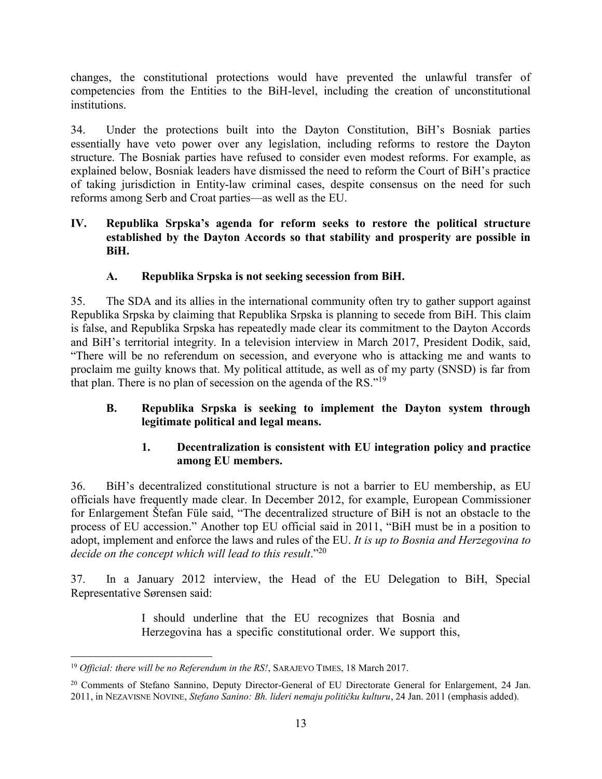changes, the constitutional protections would have prevented the unlawful transfer of competencies from the Entities to the BiH-level, including the creation of unconstitutional institutions.

34. Under the protections built into the Dayton Constitution, BiH's Bosniak parties essentially have veto power over any legislation, including reforms to restore the Dayton structure. The Bosniak parties have refused to consider even modest reforms. For example, as explained below, Bosniak leaders have dismissed the need to reform the Court of BiH's practice of taking jurisdiction in Entity-law criminal cases, despite consensus on the need for such reforms among Serb and Croat parties—as well as the EU.

#### <span id="page-17-0"></span>**IV. Republika Srpska's agenda for reform seeks to restore the political structure established by the Dayton Accords so that stability and prosperity are possible in BiH.**

# **A. Republika Srpska is not seeking secession from BiH.**

<span id="page-17-1"></span>35. The SDA and its allies in the international community often try to gather support against Republika Srpska by claiming that Republika Srpska is planning to secede from BiH. This claim is false, and Republika Srpska has repeatedly made clear its commitment to the Dayton Accords and BiH's territorial integrity. In a television interview in March 2017, President Dodik, said, "There will be no referendum on secession, and everyone who is attacking me and wants to proclaim me guilty knows that. My political attitude, as well as of my party (SNSD) is far from that plan. There is no plan of secession on the agenda of the RS."<sup>19</sup>

## <span id="page-17-2"></span>**B. Republika Srpska is seeking to implement the Dayton system through legitimate political and legal means.**

## **1. Decentralization is consistent with EU integration policy and practice among EU members.**

<span id="page-17-3"></span>36. BiH's decentralized constitutional structure is not a barrier to EU membership, as EU officials have frequently made clear. In December 2012, for example, European Commissioner for Enlargement Štefan Füle said, "The decentralized structure of BiH is not an obstacle to the process of EU accession." Another top EU official said in 2011, "BiH must be in a position to adopt, implement and enforce the laws and rules of the EU. *It is up to Bosnia and Herzegovina to decide on the concept which will lead to this result*."<sup>20</sup>

37. In a January 2012 interview, the Head of the EU Delegation to BiH, Special Representative Sørensen said:

> I should underline that the EU recognizes that Bosnia and Herzegovina has a specific constitutional order. We support this,

 $\overline{a}$ <sup>19</sup> *Official: there will be no Referendum in the RS!*, SARAJEVO TIMES, 18 March 2017.

<sup>20</sup> Comments of Stefano Sannino, Deputy Director-General of EU Directorate General for Enlargement, 24 Jan. 2011, in NEZAVISNE NOVINE, *Stefano Sanino: Bh. lideri nemaju političku kulturu*, 24 Jan. 2011 (emphasis added)*.*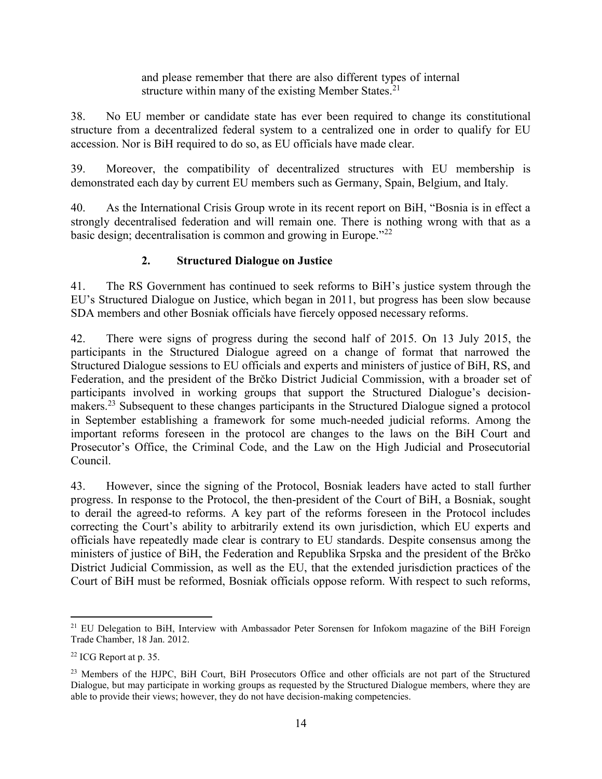and please remember that there are also different types of internal structure within many of the existing Member States.<sup>21</sup>

38. No EU member or candidate state has ever been required to change its constitutional structure from a decentralized federal system to a centralized one in order to qualify for EU accession. Nor is BiH required to do so, as EU officials have made clear.

39. Moreover, the compatibility of decentralized structures with EU membership is demonstrated each day by current EU members such as Germany, Spain, Belgium, and Italy.

40. As the International Crisis Group wrote in its recent report on BiH, "Bosnia is in effect a strongly decentralised federation and will remain one. There is nothing wrong with that as a basic design; decentralisation is common and growing in Europe."<sup>22</sup>

# **2. Structured Dialogue on Justice**

<span id="page-18-0"></span>41. The RS Government has continued to seek reforms to BiH's justice system through the EU's Structured Dialogue on Justice, which began in 2011, but progress has been slow because SDA members and other Bosniak officials have fiercely opposed necessary reforms.

42. There were signs of progress during the second half of 2015. On 13 July 2015, the participants in the Structured Dialogue agreed on a change of format that narrowed the Structured Dialogue sessions to EU officials and experts and ministers of justice of BiH, RS, and Federation, and the president of the Brčko District Judicial Commission, with a broader set of participants involved in working groups that support the Structured Dialogue's decisionmakers.<sup>23</sup> Subsequent to these changes participants in the Structured Dialogue signed a protocol in September establishing a framework for some much-needed judicial reforms. Among the important reforms foreseen in the protocol are changes to the laws on the BiH Court and Prosecutor's Office, the Criminal Code, and the Law on the High Judicial and Prosecutorial Council.

43. However, since the signing of the Protocol, Bosniak leaders have acted to stall further progress. In response to the Protocol, the then-president of the Court of BiH, a Bosniak, sought to derail the agreed-to reforms. A key part of the reforms foreseen in the Protocol includes correcting the Court's ability to arbitrarily extend its own jurisdiction, which EU experts and officials have repeatedly made clear is contrary to EU standards. Despite consensus among the ministers of justice of BiH, the Federation and Republika Srpska and the president of the Brčko District Judicial Commission, as well as the EU, that the extended jurisdiction practices of the Court of BiH must be reformed, Bosniak officials oppose reform. With respect to such reforms,

 $\overline{a}$ <sup>21</sup> EU Delegation to BiH, Interview with Ambassador Peter Sorensen for Infokom magazine of the BiH Foreign Trade Chamber, 18 Jan. 2012.

<sup>22</sup> ICG Report at p. 35.

<sup>&</sup>lt;sup>23</sup> Members of the HJPC, BiH Court, BiH Prosecutors Office and other officials are not part of the Structured Dialogue, but may participate in working groups as requested by the Structured Dialogue members, where they are able to provide their views; however, they do not have decision-making competencies.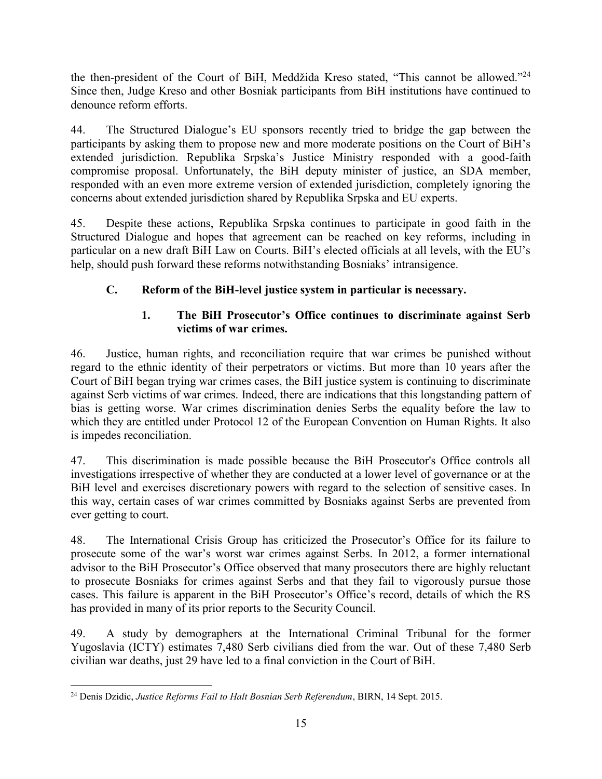the then-president of the Court of BiH, Meddžida Kreso stated, "This cannot be allowed."<sup>24</sup> Since then, Judge Kreso and other Bosniak participants from BiH institutions have continued to denounce reform efforts.

44. The Structured Dialogue's EU sponsors recently tried to bridge the gap between the participants by asking them to propose new and more moderate positions on the Court of BiH's extended jurisdiction. Republika Srpska's Justice Ministry responded with a good-faith compromise proposal. Unfortunately, the BiH deputy minister of justice, an SDA member, responded with an even more extreme version of extended jurisdiction, completely ignoring the concerns about extended jurisdiction shared by Republika Srpska and EU experts.

45. Despite these actions, Republika Srpska continues to participate in good faith in the Structured Dialogue and hopes that agreement can be reached on key reforms, including in particular on a new draft BiH Law on Courts. BiH's elected officials at all levels, with the EU's help, should push forward these reforms notwithstanding Bosniaks' intransigence.

# <span id="page-19-0"></span>**C. Reform of the BiH-level justice system in particular is necessary.**

## **1. The BiH Prosecutor's Office continues to discriminate against Serb victims of war crimes.**

<span id="page-19-1"></span>46. Justice, human rights, and reconciliation require that war crimes be punished without regard to the ethnic identity of their perpetrators or victims. But more than 10 years after the Court of BiH began trying war crimes cases, the BiH justice system is continuing to discriminate against Serb victims of war crimes. Indeed, there are indications that this longstanding pattern of bias is getting worse. War crimes discrimination denies Serbs the equality before the law to which they are entitled under Protocol 12 of the European Convention on Human Rights. It also is impedes reconciliation.

47. This discrimination is made possible because the BiH Prosecutor's Office controls all investigations irrespective of whether they are conducted at a lower level of governance or at the BiH level and exercises discretionary powers with regard to the selection of sensitive cases. In this way, certain cases of war crimes committed by Bosniaks against Serbs are prevented from ever getting to court.

48. The International Crisis Group has criticized the Prosecutor's Office for its failure to prosecute some of the war's worst war crimes against Serbs. In 2012, a former international advisor to the BiH Prosecutor's Office observed that many prosecutors there are highly reluctant to prosecute Bosniaks for crimes against Serbs and that they fail to vigorously pursue those cases. This failure is apparent in the BiH Prosecutor's Office's record, details of which the RS has provided in many of its prior reports to the Security Council.

49. A study by demographers at the International Criminal Tribunal for the former Yugoslavia (ICTY) estimates 7,480 Serb civilians died from the war. Out of these 7,480 Serb civilian war deaths, just 29 have led to a final conviction in the Court of BiH.

 $\overline{a}$ <sup>24</sup> Denis Dzidic, *Justice Reforms Fail to Halt Bosnian Serb Referendum*, BIRN, 14 Sept. 2015.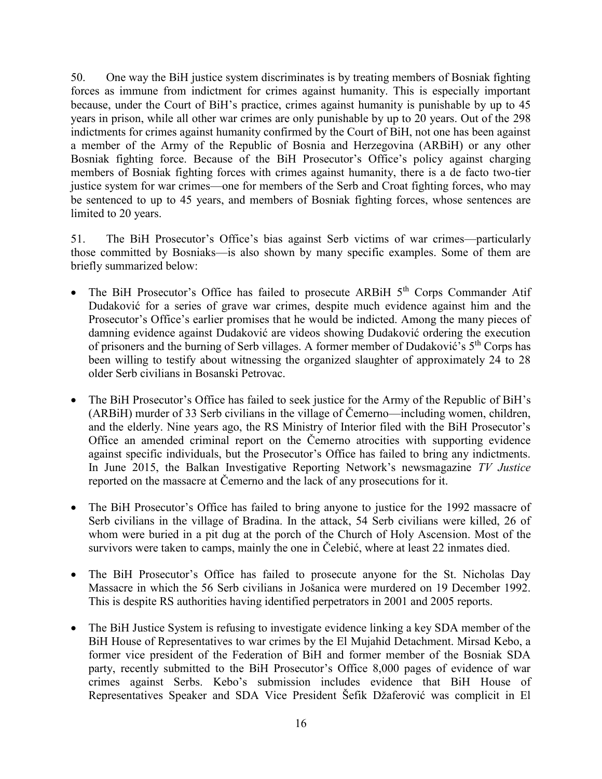50. One way the BiH justice system discriminates is by treating members of Bosniak fighting forces as immune from indictment for crimes against humanity. This is especially important because, under the Court of BiH's practice, crimes against humanity is punishable by up to 45 years in prison, while all other war crimes are only punishable by up to 20 years. Out of the 298 indictments for crimes against humanity confirmed by the Court of BiH, not one has been against a member of the Army of the Republic of Bosnia and Herzegovina (ARBiH) or any other Bosniak fighting force. Because of the BiH Prosecutor's Office's policy against charging members of Bosniak fighting forces with crimes against humanity, there is a de facto two-tier justice system for war crimes—one for members of the Serb and Croat fighting forces, who may be sentenced to up to 45 years, and members of Bosniak fighting forces, whose sentences are limited to 20 years.

51. The BiH Prosecutor's Office's bias against Serb victims of war crimes—particularly those committed by Bosniaks—is also shown by many specific examples. Some of them are briefly summarized below:

- The BiH Prosecutor's Office has failed to prosecute ARBiH 5<sup>th</sup> Corps Commander Atif Dudaković for a series of grave war crimes, despite much evidence against him and the Prosecutor's Office's earlier promises that he would be indicted. Among the many pieces of damning evidence against Dudaković are videos showing Dudaković ordering the execution of prisoners and the burning of Serb villages. A former member of Dudaković's  $5<sup>th</sup>$  Corps has been willing to testify about witnessing the organized slaughter of approximately 24 to 28 older Serb civilians in Bosanski Petrovac.
- The BiH Prosecutor's Office has failed to seek justice for the Army of the Republic of BiH's (ARBiH) murder of 33 Serb civilians in the village of Čemerno—including women, children, and the elderly. Nine years ago, the RS Ministry of Interior filed with the BiH Prosecutor's Office an amended criminal report on the Čemerno atrocities with supporting evidence against specific individuals, but the Prosecutor's Office has failed to bring any indictments. In June 2015, the Balkan Investigative Reporting Network's newsmagazine *TV Justice* reported on the massacre at Čemerno and the lack of any prosecutions for it.
- The BiH Prosecutor's Office has failed to bring anyone to justice for the 1992 massacre of Serb civilians in the village of Bradina. In the attack, 54 Serb civilians were killed, 26 of whom were buried in a pit dug at the porch of the Church of Holy Ascension. Most of the survivors were taken to camps, mainly the one in Čelebić, where at least 22 inmates died.
- The BiH Prosecutor's Office has failed to prosecute anyone for the St. Nicholas Day Massacre in which the 56 Serb civilians in Jošanica were murdered on 19 December 1992. This is despite RS authorities having identified perpetrators in 2001 and 2005 reports.
- The BiH Justice System is refusing to investigate evidence linking a key SDA member of the BiH House of Representatives to war crimes by the El Mujahid Detachment. Mirsad Kebo, a former vice president of the Federation of BiH and former member of the Bosniak SDA party, recently submitted to the BiH Prosecutor's Office 8,000 pages of evidence of war crimes against Serbs. Kebo's submission includes evidence that BiH House of Representatives Speaker and SDA Vice President Šefik Džaferović was complicit in El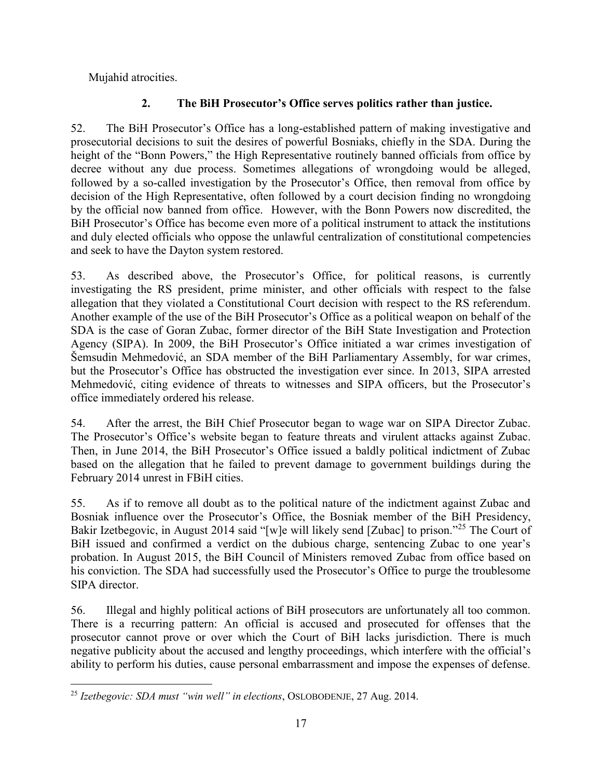Mujahid atrocities.

# **2. The BiH Prosecutor's Office serves politics rather than justice.**

<span id="page-21-0"></span>52. The BiH Prosecutor's Office has a long-established pattern of making investigative and prosecutorial decisions to suit the desires of powerful Bosniaks, chiefly in the SDA. During the height of the "Bonn Powers," the High Representative routinely banned officials from office by decree without any due process. Sometimes allegations of wrongdoing would be alleged, followed by a so-called investigation by the Prosecutor's Office, then removal from office by decision of the High Representative, often followed by a court decision finding no wrongdoing by the official now banned from office. However, with the Bonn Powers now discredited, the BiH Prosecutor's Office has become even more of a political instrument to attack the institutions and duly elected officials who oppose the unlawful centralization of constitutional competencies and seek to have the Dayton system restored.

53. As described above, the Prosecutor's Office, for political reasons, is currently investigating the RS president, prime minister, and other officials with respect to the false allegation that they violated a Constitutional Court decision with respect to the RS referendum. Another example of the use of the BiH Prosecutor's Office as a political weapon on behalf of the SDA is the case of Goran Zubac, former director of the BiH State Investigation and Protection Agency (SIPA). In 2009, the BiH Prosecutor's Office initiated a war crimes investigation of Šemsudin Mehmedović, an SDA member of the BiH Parliamentary Assembly, for war crimes, but the Prosecutor's Office has obstructed the investigation ever since. In 2013, SIPA arrested Mehmedović, citing evidence of threats to witnesses and SIPA officers, but the Prosecutor's office immediately ordered his release.

54. After the arrest, the BiH Chief Prosecutor began to wage war on SIPA Director Zubac. The Prosecutor's Office's website began to feature threats and virulent attacks against Zubac. Then, in June 2014, the BiH Prosecutor's Office issued a baldly political indictment of Zubac based on the allegation that he failed to prevent damage to government buildings during the February 2014 unrest in FBiH cities.

55. As if to remove all doubt as to the political nature of the indictment against Zubac and Bosniak influence over the Prosecutor's Office, the Bosniak member of the BiH Presidency, Bakir Izetbegovic, in August 2014 said "[w]e will likely send [Zubac] to prison."<sup>25</sup> The Court of BiH issued and confirmed a verdict on the dubious charge, sentencing Zubac to one year's probation. In August 2015, the BiH Council of Ministers removed Zubac from office based on his conviction. The SDA had successfully used the Prosecutor's Office to purge the troublesome SIPA director.

56. Illegal and highly political actions of BiH prosecutors are unfortunately all too common. There is a recurring pattern: An official is accused and prosecuted for offenses that the prosecutor cannot prove or over which the Court of BiH lacks jurisdiction. There is much negative publicity about the accused and lengthy proceedings, which interfere with the official's ability to perform his duties, cause personal embarrassment and impose the expenses of defense.

 $\overline{a}$ <sup>25</sup> *Izetbegovic: SDA must "win well" in elections*, OSLOBOĐENJE, 27 Aug. 2014.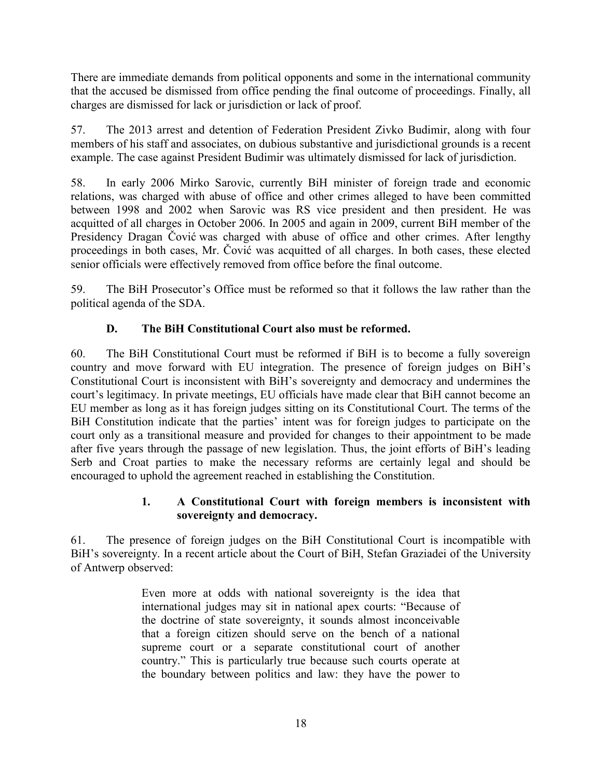There are immediate demands from political opponents and some in the international community that the accused be dismissed from office pending the final outcome of proceedings. Finally, all charges are dismissed for lack or jurisdiction or lack of proof.

57. The 2013 arrest and detention of Federation President Zivko Budimir, along with four members of his staff and associates, on dubious substantive and jurisdictional grounds is a recent example. The case against President Budimir was ultimately dismissed for lack of jurisdiction.

58. In early 2006 Mirko Sarovic, currently BiH minister of foreign trade and economic relations, was charged with abuse of office and other crimes alleged to have been committed between 1998 and 2002 when Sarovic was RS vice president and then president. He was acquitted of all charges in October 2006. In 2005 and again in 2009, current BiH member of the Presidency Dragan Čović was charged with abuse of office and other crimes. After lengthy proceedings in both cases, Mr. Čović was acquitted of all charges. In both cases, these elected senior officials were effectively removed from office before the final outcome.

59. The BiH Prosecutor's Office must be reformed so that it follows the law rather than the political agenda of the SDA.

# **D. The BiH Constitutional Court also must be reformed.**

<span id="page-22-0"></span>60. The BiH Constitutional Court must be reformed if BiH is to become a fully sovereign country and move forward with EU integration. The presence of foreign judges on BiH's Constitutional Court is inconsistent with BiH's sovereignty and democracy and undermines the court's legitimacy. In private meetings, EU officials have made clear that BiH cannot become an EU member as long as it has foreign judges sitting on its Constitutional Court. The terms of the BiH Constitution indicate that the parties' intent was for foreign judges to participate on the court only as a transitional measure and provided for changes to their appointment to be made after five years through the passage of new legislation. Thus, the joint efforts of BiH's leading Serb and Croat parties to make the necessary reforms are certainly legal and should be encouraged to uphold the agreement reached in establishing the Constitution.

## **1. A Constitutional Court with foreign members is inconsistent with sovereignty and democracy.**

<span id="page-22-1"></span>61. The presence of foreign judges on the BiH Constitutional Court is incompatible with BiH's sovereignty. In a recent article about the Court of BiH, Stefan Graziadei of the University of Antwerp observed:

> Even more at odds with national sovereignty is the idea that international judges may sit in national apex courts: "Because of the doctrine of state sovereignty, it sounds almost inconceivable that a foreign citizen should serve on the bench of a national supreme court or a separate constitutional court of another country." This is particularly true because such courts operate at the boundary between politics and law: they have the power to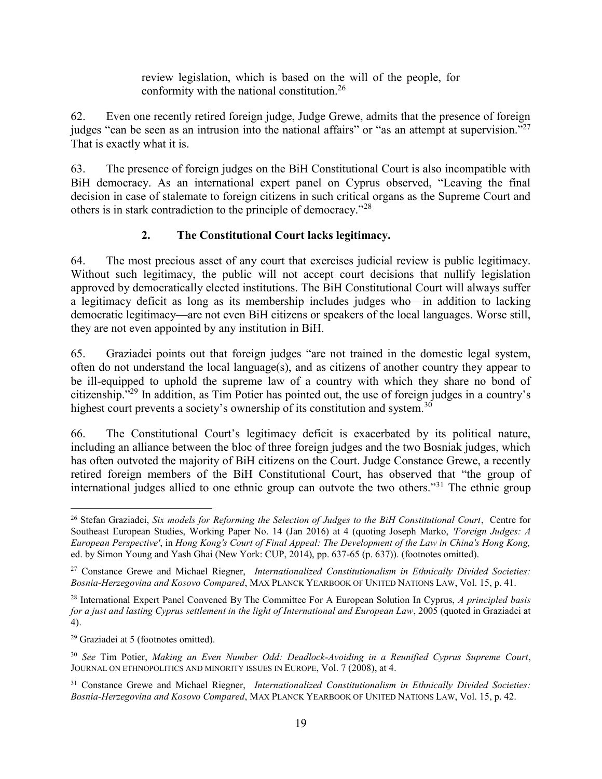review legislation, which is based on the will of the people, for conformity with the national constitution.<sup>26</sup>

62. Even one recently retired foreign judge, Judge Grewe, admits that the presence of foreign judges "can be seen as an intrusion into the national affairs" or "as an attempt at supervision."<sup>27</sup> That is exactly what it is.

63. The presence of foreign judges on the BiH Constitutional Court is also incompatible with BiH democracy. As an international expert panel on Cyprus observed, "Leaving the final decision in case of stalemate to foreign citizens in such critical organs as the Supreme Court and others is in stark contradiction to the principle of democracy."<sup>28</sup>

# **2. The Constitutional Court lacks legitimacy.**

<span id="page-23-0"></span>64. The most precious asset of any court that exercises judicial review is public legitimacy. Without such legitimacy, the public will not accept court decisions that nullify legislation approved by democratically elected institutions. The BiH Constitutional Court will always suffer a legitimacy deficit as long as its membership includes judges who—in addition to lacking democratic legitimacy—are not even BiH citizens or speakers of the local languages. Worse still, they are not even appointed by any institution in BiH.

65. Graziadei points out that foreign judges "are not trained in the domestic legal system, often do not understand the local language(s), and as citizens of another country they appear to be ill-equipped to uphold the supreme law of a country with which they share no bond of citizenship."<sup>29</sup> In addition, as Tim Potier has pointed out, the use of foreign judges in a country's highest court prevents a society's ownership of its constitution and system.<sup>30</sup>

66. The Constitutional Court's legitimacy deficit is exacerbated by its political nature, including an alliance between the bloc of three foreign judges and the two Bosniak judges, which has often outvoted the majority of BiH citizens on the Court. Judge Constance Grewe, a recently retired foreign members of the BiH Constitutional Court, has observed that "the group of international judges allied to one ethnic group can outvote the two others."<sup>31</sup> The ethnic group

 $\overline{a}$ <sup>26</sup> Stefan Graziadei, *Six models for Reforming the Selection of Judges to the BiH Constitutional Court*, Centre for Southeast European Studies, Working Paper No. 14 (Jan 2016) at 4 (quoting Joseph Marko, *'Foreign Judges: A European Perspective'*, in *Hong Kong's Court of Final Appeal: The Development of the Law in China's Hong Kong,* ed. by Simon Young and Yash Ghai (New York: CUP, 2014), pp. 637-65 (p. 637)). (footnotes omitted).

<sup>27</sup> Constance Grewe and Michael Riegner, *Internationalized Constitutionalism in Ethnically Divided Societies: Bosnia-Herzegovina and Kosovo Compared*, MAX PLANCK YEARBOOK OF UNITED NATIONS LAW, Vol. 15, p. 41.

<sup>28</sup> International Expert Panel Convened By The Committee For A European Solution In Cyprus, *A principled basis for a just and lasting Cyprus settlement in the light of International and European Law*, 2005 (quoted in Graziadei at 4).

<sup>29</sup> Graziadei at 5 (footnotes omitted).

<sup>30</sup> *See* Tim Potier, *Making an Even Number Odd: Deadlock-Avoiding in a Reunified Cyprus Supreme Court*, JOURNAL ON ETHNOPOLITICS AND MINORITY ISSUES IN EUROPE, Vol. 7 (2008), at 4.

<sup>31</sup> Constance Grewe and Michael Riegner, *Internationalized Constitutionalism in Ethnically Divided Societies: Bosnia-Herzegovina and Kosovo Compared*, MAX PLANCK YEARBOOK OF UNITED NATIONS LAW, Vol. 15, p. 42.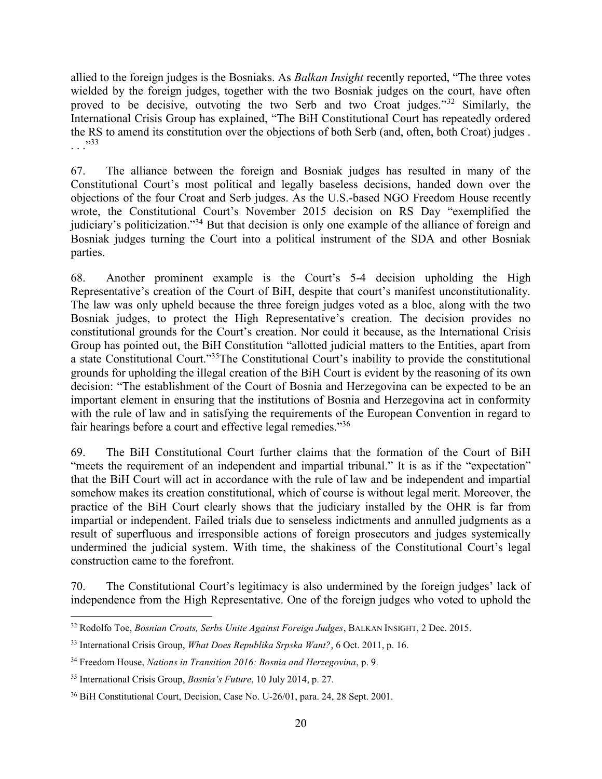allied to the foreign judges is the Bosniaks. As *Balkan Insight* recently reported, "The three votes wielded by the foreign judges, together with the two Bosniak judges on the court, have often proved to be decisive, outvoting the two Serb and two Croat judges."<sup>32</sup> Similarly, the International Crisis Group has explained, "The BiH Constitutional Court has repeatedly ordered the RS to amend its constitution over the objections of both Serb (and, often, both Croat) judges .  $^{5,33}$ 

67. The alliance between the foreign and Bosniak judges has resulted in many of the Constitutional Court's most political and legally baseless decisions, handed down over the objections of the four Croat and Serb judges. As the U.S.-based NGO Freedom House recently wrote, the Constitutional Court's November 2015 decision on RS Day "exemplified the judiciary's politicization."<sup>34</sup> But that decision is only one example of the alliance of foreign and Bosniak judges turning the Court into a political instrument of the SDA and other Bosniak parties.

68. Another prominent example is the Court's 5-4 decision upholding the High Representative's creation of the Court of BiH, despite that court's manifest unconstitutionality. The law was only upheld because the three foreign judges voted as a bloc, along with the two Bosniak judges, to protect the High Representative's creation. The decision provides no constitutional grounds for the Court's creation. Nor could it because, as the International Crisis Group has pointed out, the BiH Constitution "allotted judicial matters to the Entities, apart from a state Constitutional Court."<sup>35</sup>The Constitutional Court's inability to provide the constitutional grounds for upholding the illegal creation of the BiH Court is evident by the reasoning of its own decision: "The establishment of the Court of Bosnia and Herzegovina can be expected to be an important element in ensuring that the institutions of Bosnia and Herzegovina act in conformity with the rule of law and in satisfying the requirements of the European Convention in regard to fair hearings before a court and effective legal remedies."<sup>36</sup>

69. The BiH Constitutional Court further claims that the formation of the Court of BiH "meets the requirement of an independent and impartial tribunal." It is as if the "expectation" that the BiH Court will act in accordance with the rule of law and be independent and impartial somehow makes its creation constitutional, which of course is without legal merit. Moreover, the practice of the BiH Court clearly shows that the judiciary installed by the OHR is far from impartial or independent. Failed trials due to senseless indictments and annulled judgments as a result of superfluous and irresponsible actions of foreign prosecutors and judges systemically undermined the judicial system. With time, the shakiness of the Constitutional Court's legal construction came to the forefront.

70. The Constitutional Court's legitimacy is also undermined by the foreign judges' lack of independence from the High Representative. One of the foreign judges who voted to uphold the

 $\overline{a}$ <sup>32</sup> Rodolfo Toe, *Bosnian Croats, Serbs Unite Against Foreign Judges*, BALKAN INSIGHT, 2 Dec. 2015.

<sup>33</sup> International Crisis Group, *What Does Republika Srpska Want?*, 6 Oct. 2011, p. 16.

<sup>34</sup> Freedom House, *Nations in Transition 2016: Bosnia and Herzegovina*, p. 9.

<sup>35</sup> International Crisis Group, *Bosnia's Future*, 10 July 2014, p. 27.

<sup>36</sup> BiH Constitutional Court, Decision, Case No. U-26/01, para. 24, 28 Sept. 2001.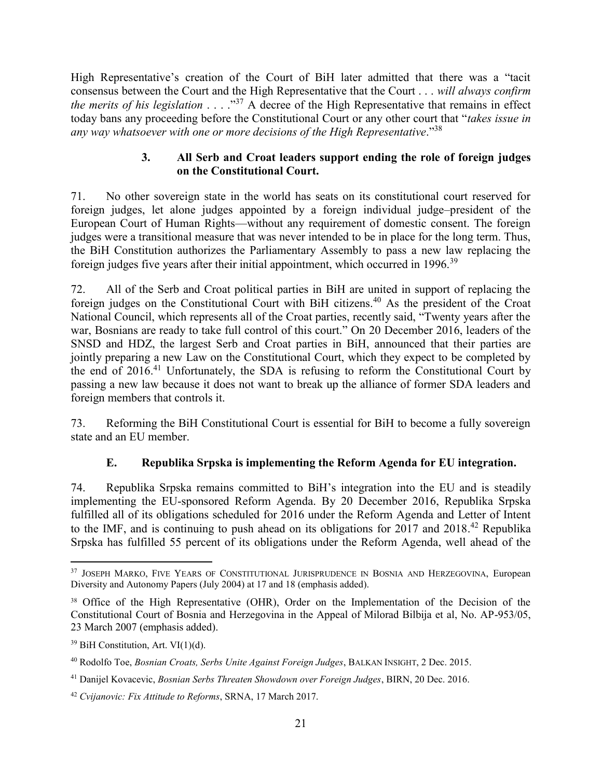High Representative's creation of the Court of BiH later admitted that there was a "tacit consensus between the Court and the High Representative that the Court . . . *will always confirm the merits of his legislation* . . . ."<sup>37</sup> A decree of the High Representative that remains in effect today bans any proceeding before the Constitutional Court or any other court that "*takes issue in any way whatsoever with one or more decisions of the High Representative*."<sup>38</sup>

#### **3. All Serb and Croat leaders support ending the role of foreign judges on the Constitutional Court.**

<span id="page-25-0"></span>71. No other sovereign state in the world has seats on its constitutional court reserved for foreign judges, let alone judges appointed by a foreign individual judge–president of the European Court of Human Rights—without any requirement of domestic consent. The foreign judges were a transitional measure that was never intended to be in place for the long term. Thus, the BiH Constitution authorizes the Parliamentary Assembly to pass a new law replacing the foreign judges five years after their initial appointment, which occurred in 1996.<sup>39</sup>

72. All of the Serb and Croat political parties in BiH are united in support of replacing the foreign judges on the Constitutional Court with BiH citizens.<sup>40</sup> As the president of the Croat National Council, which represents all of the Croat parties, recently said, "Twenty years after the war, Bosnians are ready to take full control of this court." On 20 December 2016, leaders of the SNSD and HDZ, the largest Serb and Croat parties in BiH, announced that their parties are jointly preparing a new Law on the Constitutional Court, which they expect to be completed by the end of  $2016<sup>41</sup>$  Unfortunately, the SDA is refusing to reform the Constitutional Court by passing a new law because it does not want to break up the alliance of former SDA leaders and foreign members that controls it.

73. Reforming the BiH Constitutional Court is essential for BiH to become a fully sovereign state and an EU member.

# **E. Republika Srpska is implementing the Reform Agenda for EU integration.**

<span id="page-25-1"></span>74. Republika Srpska remains committed to BiH's integration into the EU and is steadily implementing the EU-sponsored Reform Agenda. By 20 December 2016, Republika Srpska fulfilled all of its obligations scheduled for 2016 under the Reform Agenda and Letter of Intent to the IMF, and is continuing to push ahead on its obligations for 2017 and 2018. <sup>42</sup> Republika Srpska has fulfilled 55 percent of its obligations under the Reform Agenda, well ahead of the

 $\overline{a}$ <sup>37</sup> JOSEPH MARKO, FIVE YEARS OF CONSTITUTIONAL JURISPRUDENCE IN BOSNIA AND HERZEGOVINA, European Diversity and Autonomy Papers (July 2004) at 17 and 18 (emphasis added).

<sup>&</sup>lt;sup>38</sup> Office of the High Representative (OHR), Order on the Implementation of the Decision of the Constitutional Court of Bosnia and Herzegovina in the Appeal of Milorad Bilbija et al, No. AP-953/05, 23 March 2007 (emphasis added).

 $39$  BiH Constitution, Art. VI $(1)(d)$ .

<sup>40</sup> Rodolfo Toe, *Bosnian Croats, Serbs Unite Against Foreign Judges*, BALKAN INSIGHT, 2 Dec. 2015.

<sup>41</sup> Danijel Kovacevic, *Bosnian Serbs Threaten Showdown over Foreign Judges*, BIRN, 20 Dec. 2016.

<sup>42</sup> *Cvijanovic: Fix Attitude to Reforms*, SRNA, 17 March 2017.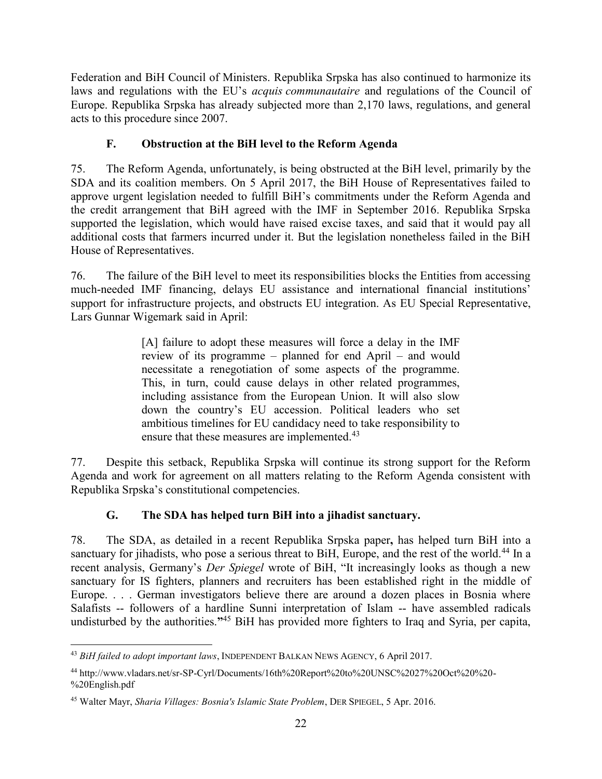Federation and BiH Council of Ministers. Republika Srpska has also continued to harmonize its laws and regulations with the EU's *acquis communautaire* and regulations of the Council of Europe. Republika Srpska has already subjected more than 2,170 laws, regulations, and general acts to this procedure since 2007.

# **F. Obstruction at the BiH level to the Reform Agenda**

<span id="page-26-0"></span>75. The Reform Agenda, unfortunately, is being obstructed at the BiH level, primarily by the SDA and its coalition members. On 5 April 2017, the BiH House of Representatives failed to approve urgent legislation needed to fulfill BiH's commitments under the Reform Agenda and the credit arrangement that BiH agreed with the IMF in September 2016. Republika Srpska supported the legislation, which would have raised excise taxes, and said that it would pay all additional costs that farmers incurred under it. But the legislation nonetheless failed in the BiH House of Representatives.

76. The failure of the BiH level to meet its responsibilities blocks the Entities from accessing much-needed IMF financing, delays EU assistance and international financial institutions' support for infrastructure projects, and obstructs EU integration. As EU Special Representative, Lars Gunnar Wigemark said in April:

> [A] failure to adopt these measures will force a delay in the IMF review of its programme – planned for end April – and would necessitate a renegotiation of some aspects of the programme. This, in turn, could cause delays in other related programmes, including assistance from the European Union. It will also slow down the country's EU accession. Political leaders who set ambitious timelines for EU candidacy need to take responsibility to ensure that these measures are implemented.<sup>43</sup>

77. Despite this setback, Republika Srpska will continue its strong support for the Reform Agenda and work for agreement on all matters relating to the Reform Agenda consistent with Republika Srpska's constitutional competencies.

# **G. The SDA has helped turn BiH into a jihadist sanctuary.**

<span id="page-26-1"></span>78. The SDA, as detailed in a recent Republika Srpska paper**,** has helped turn BiH into a sanctuary for jihadists, who pose a serious threat to BiH, Europe, and the rest of the world.<sup>44</sup> In a recent analysis, Germany's *Der Spiegel* wrote of BiH, "It increasingly looks as though a new sanctuary for IS fighters, planners and recruiters has been established right in the middle of Europe. . . . German investigators believe there are around a dozen places in Bosnia where Salafists -- followers of a hardline Sunni interpretation of Islam -- have assembled radicals undisturbed by the authorities.**"** <sup>45</sup> BiH has provided more fighters to Iraq and Syria, per capita,

 $\overline{a}$ <sup>43</sup> *BiH failed to adopt important laws*, INDEPENDENT BALKAN NEWS AGENCY, 6 April 2017.

<sup>44</sup> http://www.vladars.net/sr-SP-Cyrl/Documents/16th%20Report%20to%20UNSC%2027%20Oct%20%20- %20English.pdf

<sup>45</sup> Walter Mayr, *Sharia Villages: Bosnia's Islamic State Problem*, DER SPIEGEL, 5 Apr. 2016.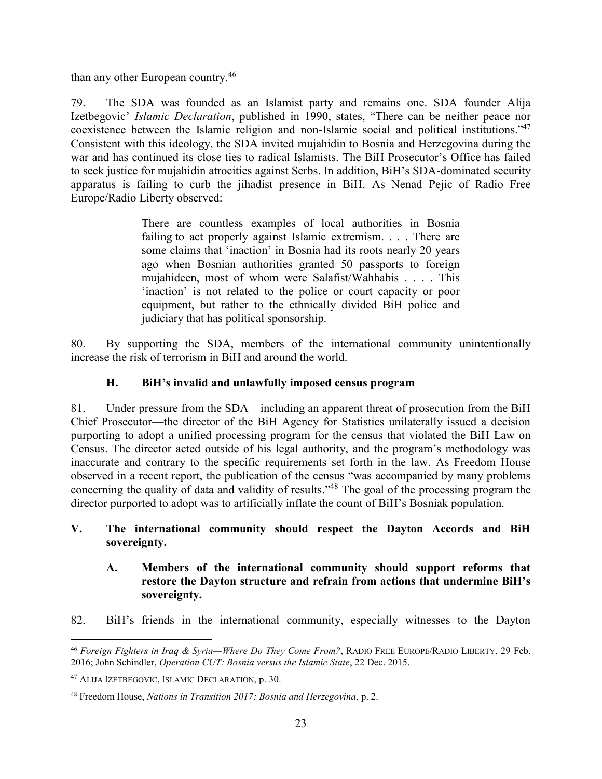than any other European country.<sup>46</sup>

79. The SDA was founded as an Islamist party and remains one. SDA founder Alija Izetbegovic' *Islamic Declaration*, published in 1990, states, "There can be neither peace nor coexistence between the Islamic religion and non-Islamic social and political institutions."<sup>47</sup> Consistent with this ideology, the SDA invited mujahidin to Bosnia and Herzegovina during the war and has continued its close ties to radical Islamists. The BiH Prosecutor's Office has failed to seek justice for mujahidin atrocities against Serbs. In addition, BiH's SDA-dominated security apparatus is failing to curb the jihadist presence in BiH. As Nenad Pejic of Radio Free Europe/Radio Liberty observed:

> There are countless examples of local authorities in Bosnia failing to act properly against Islamic extremism. . . . There are some claims that 'inaction' in Bosnia had its roots nearly 20 years ago when Bosnian authorities granted 50 passports to foreign mujahideen, most of whom were Salafist/Wahhabis . . . . This 'inaction' is not related to the police or court capacity or poor equipment, but rather to the ethnically divided BiH police and judiciary that has political sponsorship.

80. By supporting the SDA, members of the international community unintentionally increase the risk of terrorism in BiH and around the world.

#### **H. BiH's invalid and unlawfully imposed census program**

<span id="page-27-0"></span>81. Under pressure from the SDA—including an apparent threat of prosecution from the BiH Chief Prosecutor—the director of the BiH Agency for Statistics unilaterally issued a decision purporting to adopt a unified processing program for the census that violated the BiH Law on Census. The director acted outside of his legal authority, and the program's methodology was inaccurate and contrary to the specific requirements set forth in the law. As Freedom House observed in a recent report, the publication of the census "was accompanied by many problems concerning the quality of data and validity of results.<sup>148</sup> The goal of the processing program the director purported to adopt was to artificially inflate the count of BiH's Bosniak population.

#### <span id="page-27-1"></span>**V. The international community should respect the Dayton Accords and BiH sovereignty.**

#### <span id="page-27-2"></span>**A. Members of the international community should support reforms that restore the Dayton structure and refrain from actions that undermine BiH's sovereignty.**

82. BiH's friends in the international community, especially witnesses to the Dayton

 $\overline{a}$ <sup>46</sup> *Foreign Fighters in Iraq & Syria—Where Do They Come From?*, RADIO FREE EUROPE/RADIO LIBERTY, 29 Feb. 2016; John Schindler, *Operation CUT: Bosnia versus the Islamic State*, 22 Dec. 2015.

<sup>47</sup> ALIJA IZETBEGOVIC, ISLAMIC DECLARATION, p. 30.

<sup>48</sup> Freedom House, *Nations in Transition 2017: Bosnia and Herzegovina*, p. 2.